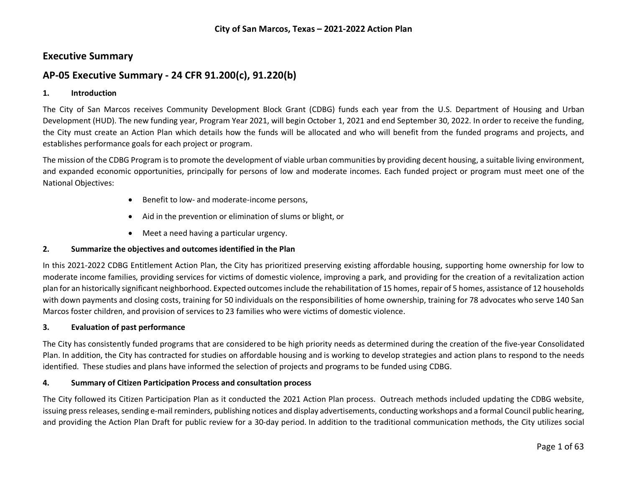# **Executive Summary**

# **AP-05 Executive Summary - 24 CFR 91.200(c), 91.220(b)**

#### **1. Introduction**

The City of San Marcos receives Community Development Block Grant (CDBG) funds each year from the U.S. Department of Housing and Urban Development (HUD). The new funding year, Program Year 2021, will begin October 1, 2021 and end September 30, 2022. In order to receive the funding, the City must create an Action Plan which details how the funds will be allocated and who will benefit from the funded programs and projects, and establishes performance goals for each project or program.

The mission of the CDBG Program is to promote the development of viable urban communities by providing decent housing, a suitable living environment, and expanded economic opportunities, principally for persons of low and moderate incomes. Each funded project or program must meet one of the National Objectives:

- Benefit to low- and moderate-income persons,
- Aid in the prevention or elimination of slums or blight, or
- Meet a need having a particular urgency.

#### **2. Summarize the objectives and outcomes identified in the Plan**

In this 2021-2022 CDBG Entitlement Action Plan, the City has prioritized preserving existing affordable housing, supporting home ownership for low to moderate income families, providing services for victims of domestic violence, improving a park, and providing for the creation of a revitalization action plan for an historically significant neighborhood. Expected outcomes include the rehabilitation of 15 homes, repair of 5 homes, assistance of 12 households with down payments and closing costs, training for 50 individuals on the responsibilities of home ownership, training for 78 advocates who serve 140 San Marcos foster children, and provision of services to 23 families who were victims of domestic violence.

#### **3. Evaluation of past performance**

The City has consistently funded programs that are considered to be high priority needs as determined during the creation of the five-year Consolidated Plan. In addition, the City has contracted for studies on affordable housing and is working to develop strategies and action plans to respond to the needs identified. These studies and plans have informed the selection of projects and programs to be funded using CDBG.

#### **4. Summary of Citizen Participation Process and consultation process**

The City followed its Citizen Participation Plan as it conducted the 2021 Action Plan process. Outreach methods included updating the CDBG website, issuing press releases, sending e-mail reminders, publishing notices and display advertisements, conducting workshops and a formal Council public hearing, and providing the Action Plan Draft for public review for a 30-day period. In addition to the traditional communication methods, the City utilizes social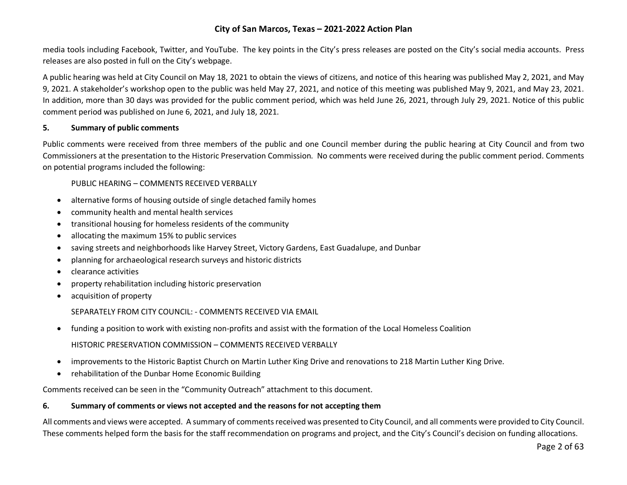media tools including Facebook, Twitter, and YouTube. The key points in the City's press releases are posted on the City's social media accounts. Press releases are also posted in full on the City's webpage.

A public hearing was held at City Council on May 18, 2021 to obtain the views of citizens, and notice of this hearing was published May 2, 2021, and May 9, 2021. A stakeholder's workshop open to the public was held May 27, 2021, and notice of this meeting was published May 9, 2021, and May 23, 2021. In addition, more than 30 days was provided for the public comment period, which was held June 26, 2021, through July 29, 2021. Notice of this public comment period was published on June 6, 2021, and July 18, 2021.

### **5. Summary of public comments**

Public comments were received from three members of the public and one Council member during the public hearing at City Council and from two Commissioners at the presentation to the Historic Preservation Commission. No comments were received during the public comment period. Comments on potential programs included the following:

PUBLIC HEARING – COMMENTS RECEIVED VERBALLY

- alternative forms of housing outside of single detached family homes
- community health and mental health services
- transitional housing for homeless residents of the community
- allocating the maximum 15% to public services
- saving streets and neighborhoods like Harvey Street, Victory Gardens, East Guadalupe, and Dunbar
- planning for archaeological research surveys and historic districts
- clearance activities
- property rehabilitation including historic preservation
- acquisition of property

SEPARATELY FROM CITY COUNCIL: - COMMENTS RECEIVED VIA EMAIL

• funding a position to work with existing non-profits and assist with the formation of the Local Homeless Coalition

HISTORIC PRESERVATION COMMISSION – COMMENTS RECEIVED VERBALLY

- improvements to the Historic Baptist Church on Martin Luther King Drive and renovations to 218 Martin Luther King Drive.
- rehabilitation of the Dunbar Home Economic Building

Comments received can be seen in the "Community Outreach" attachment to this document.

#### **6. Summary of comments or views not accepted and the reasons for not accepting them**

All comments and views were accepted. A summary of comments received was presented to City Council, and all comments were provided to City Council. These comments helped form the basis for the staff recommendation on programs and project, and the City's Council's decision on funding allocations.

Page 2 of 63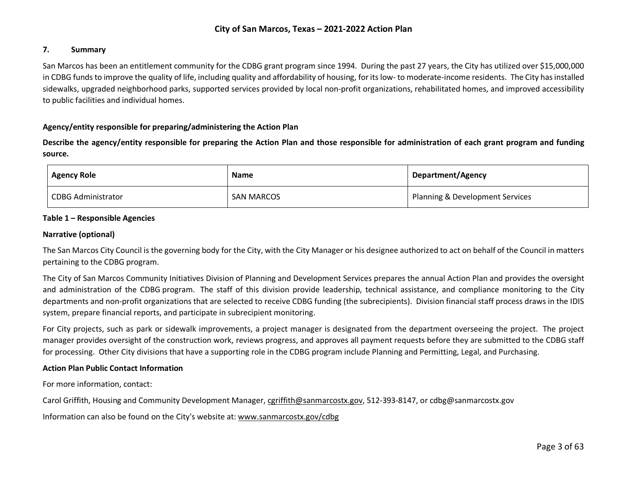#### **7. Summary**

San Marcos has been an entitlement community for the CDBG grant program since 1994. During the past 27 years, the City has utilized over \$15,000,000 in CDBG funds to improve the quality of life, including quality and affordability of housing, for its low- to moderate-income residents. The City has installed sidewalks, upgraded neighborhood parks, supported services provided by local non-profit organizations, rehabilitated homes, and improved accessibility to public facilities and individual homes.

#### **Agency/entity responsible for preparing/administering the Action Plan**

**Describe the agency/entity responsible for preparing the Action Plan and those responsible for administration of each grant program and funding source.**

| <b>Agency Role</b>        | <b>Name</b>       | <b>Department/Agency</b>        |
|---------------------------|-------------------|---------------------------------|
| <b>CDBG Administrator</b> | <b>SAN MARCOS</b> | Planning & Development Services |

#### **Table 1 – Responsible Agencies**

#### **Narrative (optional)**

The San Marcos City Council is the governing body for the City, with the City Manager or his designee authorized to act on behalf of the Council in matters pertaining to the CDBG program.

The City of San Marcos Community Initiatives Division of Planning and Development Services prepares the annual Action Plan and provides the oversight and administration of the CDBG program. The staff of this division provide leadership, technical assistance, and compliance monitoring to the City departments and non-profit organizations that are selected to receive CDBG funding (the subrecipients). Division financial staff process draws in the IDIS system, prepare financial reports, and participate in subrecipient monitoring.

For City projects, such as park or sidewalk improvements, a project manager is designated from the department overseeing the project. The project manager provides oversight of the construction work, reviews progress, and approves all payment requests before they are submitted to the CDBG staff for processing. Other City divisions that have a supporting role in the CDBG program include Planning and Permitting, Legal, and Purchasing.

#### **Action Plan Public Contact Information**

For more information, contact:

Carol Griffith, Housing and Community Development Manager, [cgriffith@sanmarcostx.gov,](mailto:cgriffith@sanmarcostx.gov) 512-393-8147, or cdbg@sanmarcostx.gov

Information can also be found on the City's website at: [www.sanmarcostx.gov/cdbg](http://www.sanmarcostx.gov/cdbg)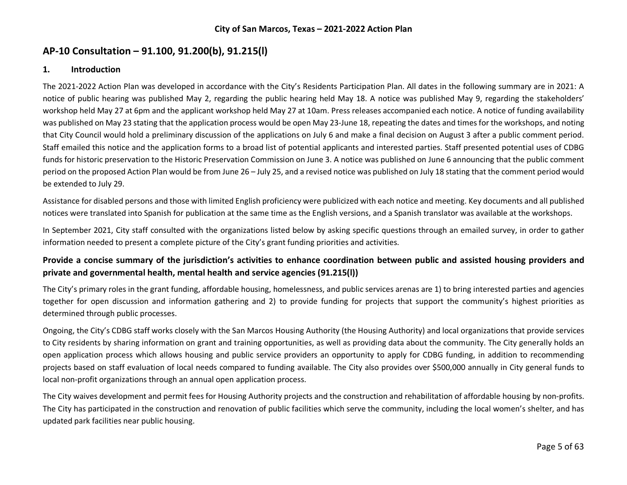# **AP-10 Consultation – 91.100, 91.200(b), 91.215(l)**

### **1. Introduction**

The 2021-2022 Action Plan was developed in accordance with the City's Residents Participation Plan. All dates in the following summary are in 2021: A notice of public hearing was published May 2, regarding the public hearing held May 18. A notice was published May 9, regarding the stakeholders' workshop held May 27 at 6pm and the applicant workshop held May 27 at 10am. Press releases accompanied each notice. A notice of funding availability was published on May 23 stating that the application process would be open May 23-June 18, repeating the dates and times for the workshops, and noting that City Council would hold a preliminary discussion of the applications on July 6 and make a final decision on August 3 after a public comment period. Staff emailed this notice and the application forms to a broad list of potential applicants and interested parties. Staff presented potential uses of CDBG funds for historic preservation to the Historic Preservation Commission on June 3. A notice was published on June 6 announcing that the public comment period on the proposed Action Plan would be from June 26 – July 25, and a revised notice was published on July 18 stating that the comment period would be extended to July 29.

Assistance for disabled persons and those with limited English proficiency were publicized with each notice and meeting. Key documents and all published notices were translated into Spanish for publication at the same time as the English versions, and a Spanish translator was available at the workshops.

In September 2021, City staff consulted with the organizations listed below by asking specific questions through an emailed survey, in order to gather information needed to present a complete picture of the City's grant funding priorities and activities.

# **Provide a concise summary of the jurisdiction's activities to enhance coordination between public and assisted housing providers and private and governmental health, mental health and service agencies (91.215(l))**

The City's primary roles in the grant funding, affordable housing, homelessness, and public services arenas are 1) to bring interested parties and agencies together for open discussion and information gathering and 2) to provide funding for projects that support the community's highest priorities as determined through public processes.

Ongoing, the City's CDBG staff works closely with the San Marcos Housing Authority (the Housing Authority) and local organizations that provide services to City residents by sharing information on grant and training opportunities, as well as providing data about the community. The City generally holds an open application process which allows housing and public service providers an opportunity to apply for CDBG funding, in addition to recommending projects based on staff evaluation of local needs compared to funding available. The City also provides over \$500,000 annually in City general funds to local non-profit organizations through an annual open application process.

The City waives development and permit fees for Housing Authority projects and the construction and rehabilitation of affordable housing by non-profits. The City has participated in the construction and renovation of public facilities which serve the community, including the local women's shelter, and has updated park facilities near public housing.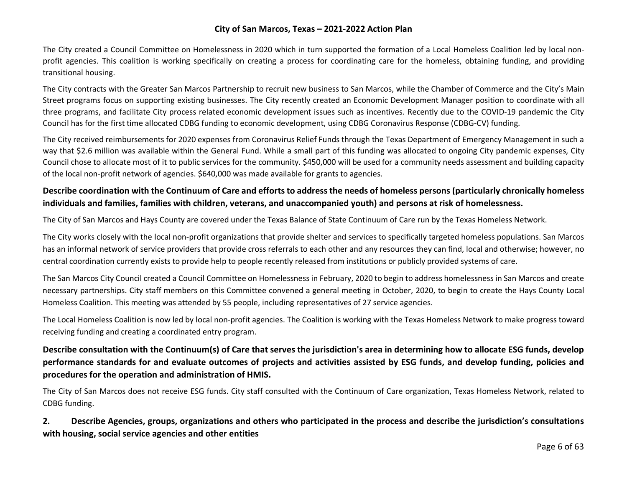The City created a Council Committee on Homelessness in 2020 which in turn supported the formation of a Local Homeless Coalition led by local nonprofit agencies. This coalition is working specifically on creating a process for coordinating care for the homeless, obtaining funding, and providing transitional housing.

The City contracts with the Greater San Marcos Partnership to recruit new business to San Marcos, while the Chamber of Commerce and the City's Main Street programs focus on supporting existing businesses. The City recently created an Economic Development Manager position to coordinate with all three programs, and facilitate City process related economic development issues such as incentives. Recently due to the COVID-19 pandemic the City Council has for the first time allocated CDBG funding to economic development, using CDBG Coronavirus Response (CDBG-CV) funding.

The City received reimbursements for 2020 expenses from Coronavirus Relief Funds through the Texas Department of Emergency Management in such a way that \$2.6 million was available within the General Fund. While a small part of this funding was allocated to ongoing City pandemic expenses, City Council chose to allocate most of it to public services for the community. \$450,000 will be used for a community needs assessment and building capacity of the local non-profit network of agencies. \$640,000 was made available for grants to agencies.

# **Describe coordination with the Continuum of Care and efforts to address the needs of homeless persons (particularly chronically homeless individuals and families, families with children, veterans, and unaccompanied youth) and persons at risk of homelessness.**

The City of San Marcos and Hays County are covered under the Texas Balance of State Continuum of Care run by the Texas Homeless Network.

The City works closely with the local non-profit organizations that provide shelter and services to specifically targeted homeless populations. San Marcos has an informal network of service providers that provide cross referrals to each other and any resources they can find, local and otherwise; however, no central coordination currently exists to provide help to people recently released from institutions or publicly provided systems of care.

The San Marcos City Council created a Council Committee on Homelessness in February, 2020 to begin to address homelessness in San Marcos and create necessary partnerships. City staff members on this Committee convened a general meeting in October, 2020, to begin to create the Hays County Local Homeless Coalition. This meeting was attended by 55 people, including representatives of 27 service agencies.

The Local Homeless Coalition is now led by local non-profit agencies. The Coalition is working with the Texas Homeless Network to make progress toward receiving funding and creating a coordinated entry program.

# **Describe consultation with the Continuum(s) of Care that serves the jurisdiction's area in determining how to allocate ESG funds, develop performance standards for and evaluate outcomes of projects and activities assisted by ESG funds, and develop funding, policies and procedures for the operation and administration of HMIS.**

The City of San Marcos does not receive ESG funds. City staff consulted with the Continuum of Care organization, Texas Homeless Network, related to CDBG funding.

**2. Describe Agencies, groups, organizations and others who participated in the process and describe the jurisdiction's consultations with housing, social service agencies and other entities**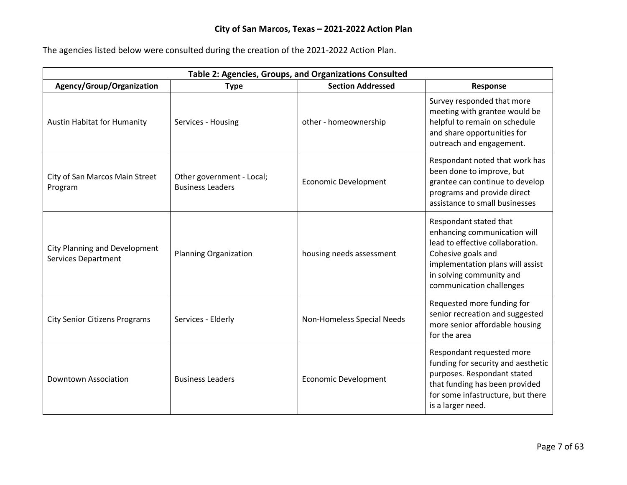The agencies listed below were consulted during the creation of the 2021-2022 Action Plan.

| Table 2: Agencies, Groups, and Organizations Consulted             |                                                      |                             |                                                                                                                                                                                                              |
|--------------------------------------------------------------------|------------------------------------------------------|-----------------------------|--------------------------------------------------------------------------------------------------------------------------------------------------------------------------------------------------------------|
| Agency/Group/Organization                                          | <b>Type</b>                                          | <b>Section Addressed</b>    | <b>Response</b>                                                                                                                                                                                              |
| <b>Austin Habitat for Humanity</b>                                 | Services - Housing                                   | other - homeownership       | Survey responded that more<br>meeting with grantee would be<br>helpful to remain on schedule<br>and share opportunities for<br>outreach and engagement.                                                      |
| City of San Marcos Main Street<br>Program                          | Other government - Local;<br><b>Business Leaders</b> | <b>Economic Development</b> | Respondant noted that work has<br>been done to improve, but<br>grantee can continue to develop<br>programs and provide direct<br>assistance to small businesses                                              |
| <b>City Planning and Development</b><br><b>Services Department</b> | <b>Planning Organization</b>                         | housing needs assessment    | Respondant stated that<br>enhancing communication will<br>lead to effective collaboration.<br>Cohesive goals and<br>implementation plans will assist<br>in solving community and<br>communication challenges |
| <b>City Senior Citizens Programs</b>                               | Services - Elderly                                   | Non-Homeless Special Needs  | Requested more funding for<br>senior recreation and suggested<br>more senior affordable housing<br>for the area                                                                                              |
| <b>Downtown Association</b>                                        | <b>Business Leaders</b>                              | <b>Economic Development</b> | Respondant requested more<br>funding for security and aesthetic<br>purposes. Respondant stated<br>that funding has been provided<br>for some infastructure, but there<br>is a larger need.                   |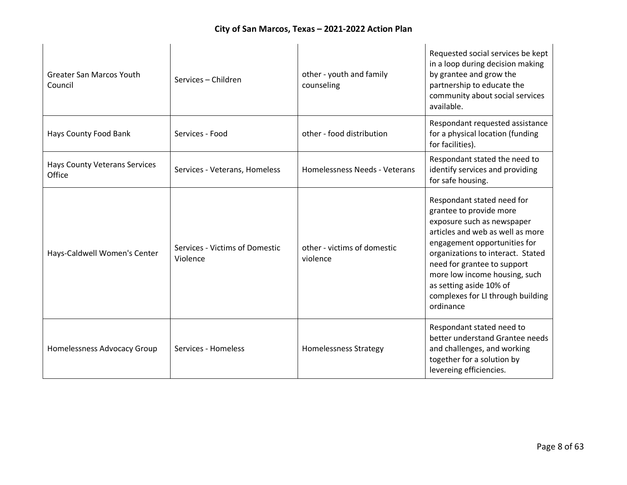| <b>Greater San Marcos Youth</b><br>Council     | Services - Children                        | other - youth and family<br>counseling  | Requested social services be kept<br>in a loop during decision making<br>by grantee and grow the<br>partnership to educate the<br>community about social services<br>available.                                                                                                                                                           |
|------------------------------------------------|--------------------------------------------|-----------------------------------------|-------------------------------------------------------------------------------------------------------------------------------------------------------------------------------------------------------------------------------------------------------------------------------------------------------------------------------------------|
| Hays County Food Bank                          | Services - Food                            | other - food distribution               | Respondant requested assistance<br>for a physical location (funding<br>for facilities).                                                                                                                                                                                                                                                   |
| <b>Hays County Veterans Services</b><br>Office | Services - Veterans, Homeless              | Homelessness Needs - Veterans           | Respondant stated the need to<br>identify services and providing<br>for safe housing.                                                                                                                                                                                                                                                     |
| Hays-Caldwell Women's Center                   | Services - Victims of Domestic<br>Violence | other - victims of domestic<br>violence | Respondant stated need for<br>grantee to provide more<br>exposure such as newspaper<br>articles and web as well as more<br>engagement opportunities for<br>organizations to interact. Stated<br>need for grantee to support<br>more low income housing, such<br>as setting aside 10% of<br>complexes for LI through building<br>ordinance |
| Homelessness Advocacy Group                    | Services - Homeless                        | <b>Homelessness Strategy</b>            | Respondant stated need to<br>better understand Grantee needs<br>and challenges, and working<br>together for a solution by<br>levereing efficiencies.                                                                                                                                                                                      |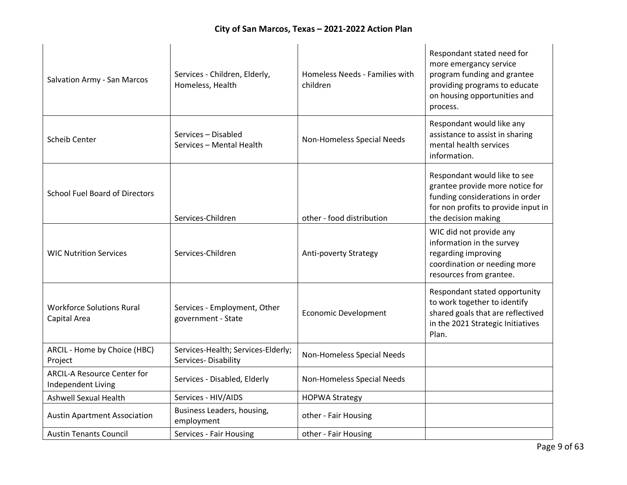| Salvation Army - San Marcos                              | Services - Children, Elderly,<br>Homeless, Health         | Homeless Needs - Families with<br>children | Respondant stated need for<br>more emergancy service<br>program funding and grantee<br>providing programs to educate<br>on housing opportunities and<br>process. |
|----------------------------------------------------------|-----------------------------------------------------------|--------------------------------------------|------------------------------------------------------------------------------------------------------------------------------------------------------------------|
| <b>Scheib Center</b>                                     | Services - Disabled<br>Services - Mental Health           | Non-Homeless Special Needs                 | Respondant would like any<br>assistance to assist in sharing<br>mental health services<br>information.                                                           |
| <b>School Fuel Board of Directors</b>                    | Services-Children                                         | other - food distribution                  | Respondant would like to see<br>grantee provide more notice for<br>funding considerations in order<br>for non profits to provide input in<br>the decision making |
| <b>WIC Nutrition Services</b>                            | Services-Children                                         | Anti-poverty Strategy                      | WIC did not provide any<br>information in the survey<br>regarding improving<br>coordination or needing more<br>resources from grantee.                           |
| <b>Workforce Solutions Rural</b><br>Capital Area         | Services - Employment, Other<br>government - State        | <b>Economic Development</b>                | Respondant stated opportunity<br>to work together to identify<br>shared goals that are reflectived<br>in the 2021 Strategic Initiatives<br>Plan.                 |
| ARCIL - Home by Choice (HBC)<br>Project                  | Services-Health; Services-Elderly;<br>Services-Disability | Non-Homeless Special Needs                 |                                                                                                                                                                  |
| <b>ARCIL-A Resource Center for</b><br>Independent Living | Services - Disabled, Elderly                              | Non-Homeless Special Needs                 |                                                                                                                                                                  |
| <b>Ashwell Sexual Health</b>                             | Services - HIV/AIDS                                       | <b>HOPWA Strategy</b>                      |                                                                                                                                                                  |
| <b>Austin Apartment Association</b>                      | Business Leaders, housing,<br>employment                  | other - Fair Housing                       |                                                                                                                                                                  |
| <b>Austin Tenants Council</b>                            | Services - Fair Housing                                   | other - Fair Housing                       |                                                                                                                                                                  |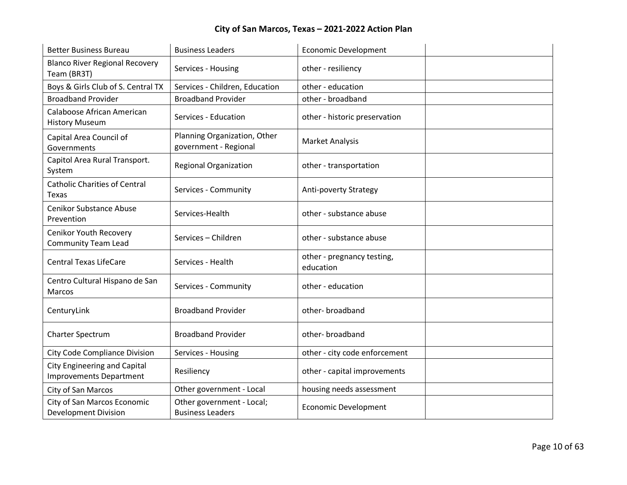| <b>Better Business Bureau</b>                                         | <b>Business Leaders</b>                               | <b>Economic Development</b>             |
|-----------------------------------------------------------------------|-------------------------------------------------------|-----------------------------------------|
| <b>Blanco River Regional Recovery</b><br>Team (BR3T)                  | Services - Housing                                    | other - resiliency                      |
| Boys & Girls Club of S. Central TX                                    | Services - Children, Education                        | other - education                       |
| <b>Broadband Provider</b>                                             | <b>Broadband Provider</b>                             | other - broadband                       |
| Calaboose African American<br><b>History Museum</b>                   | Services - Education                                  | other - historic preservation           |
| Capital Area Council of<br>Governments                                | Planning Organization, Other<br>government - Regional | <b>Market Analysis</b>                  |
| Capitol Area Rural Transport.<br>System                               | <b>Regional Organization</b>                          | other - transportation                  |
| <b>Catholic Charities of Central</b><br>Texas                         | Services - Community                                  | Anti-poverty Strategy                   |
| <b>Cenikor Substance Abuse</b><br>Prevention                          | Services-Health                                       | other - substance abuse                 |
| Cenikor Youth Recovery<br><b>Community Team Lead</b>                  | Services - Children                                   | other - substance abuse                 |
| <b>Central Texas LifeCare</b>                                         | Services - Health                                     | other - pregnancy testing,<br>education |
| Centro Cultural Hispano de San<br>Marcos                              | Services - Community                                  | other - education                       |
| CenturyLink                                                           | <b>Broadband Provider</b>                             | other-broadband                         |
| Charter Spectrum                                                      | <b>Broadband Provider</b>                             | other-broadband                         |
| <b>City Code Compliance Division</b>                                  | Services - Housing                                    | other - city code enforcement           |
| <b>City Engineering and Capital</b><br><b>Improvements Department</b> | Resiliency                                            | other - capital improvements            |
| City of San Marcos                                                    | Other government - Local                              | housing needs assessment                |
| City of San Marcos Economic<br><b>Development Division</b>            | Other government - Local;<br><b>Business Leaders</b>  | <b>Economic Development</b>             |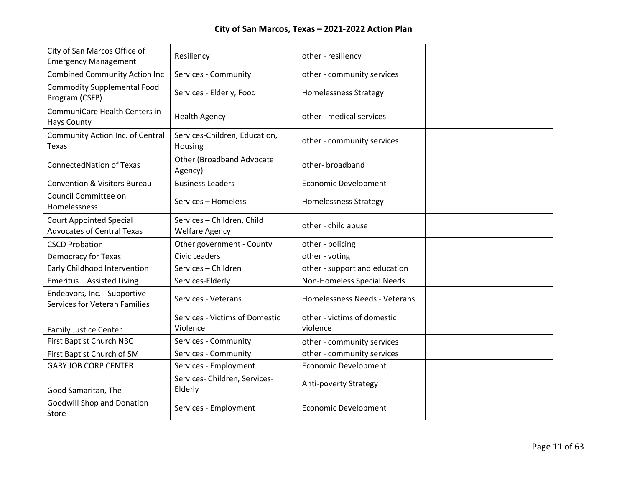| City of San Marcos Office of<br><b>Emergency Management</b>         | Resiliency                                          | other - resiliency                      |  |
|---------------------------------------------------------------------|-----------------------------------------------------|-----------------------------------------|--|
| <b>Combined Community Action Inc</b>                                | Services - Community                                | other - community services              |  |
| <b>Commodity Supplemental Food</b><br>Program (CSFP)                | Services - Elderly, Food                            | <b>Homelessness Strategy</b>            |  |
| CommuniCare Health Centers in<br><b>Hays County</b>                 | <b>Health Agency</b>                                | other - medical services                |  |
| Community Action Inc. of Central<br>Texas                           | Services-Children, Education,<br>Housing            | other - community services              |  |
| <b>ConnectedNation of Texas</b>                                     | <b>Other (Broadband Advocate</b><br>Agency)         | other-broadband                         |  |
| <b>Convention &amp; Visitors Bureau</b>                             | <b>Business Leaders</b>                             | <b>Economic Development</b>             |  |
| Council Committee on<br>Homelessness                                | Services - Homeless                                 | <b>Homelessness Strategy</b>            |  |
| <b>Court Appointed Special</b><br><b>Advocates of Central Texas</b> | Services - Children, Child<br><b>Welfare Agency</b> | other - child abuse                     |  |
| <b>CSCD Probation</b>                                               | Other government - County                           | other - policing                        |  |
| <b>Democracy for Texas</b>                                          | <b>Civic Leaders</b>                                | other - voting                          |  |
| <b>Early Childhood Intervention</b>                                 | Services - Children                                 | other - support and education           |  |
| Emeritus - Assisted Living                                          | Services-Elderly                                    | Non-Homeless Special Needs              |  |
| Endeavors, Inc. - Supportive<br>Services for Veteran Families       | Services - Veterans                                 | Homelessness Needs - Veterans           |  |
| <b>Family Justice Center</b>                                        | Services - Victims of Domestic<br>Violence          | other - victims of domestic<br>violence |  |
| <b>First Baptist Church NBC</b>                                     | Services - Community                                | other - community services              |  |
| First Baptist Church of SM                                          | Services - Community                                | other - community services              |  |
| <b>GARY JOB CORP CENTER</b>                                         | Services - Employment                               | <b>Economic Development</b>             |  |
| Good Samaritan, The                                                 | Services- Children, Services-<br>Elderly            | Anti-poverty Strategy                   |  |
| <b>Goodwill Shop and Donation</b><br>Store                          | Services - Employment                               | <b>Economic Development</b>             |  |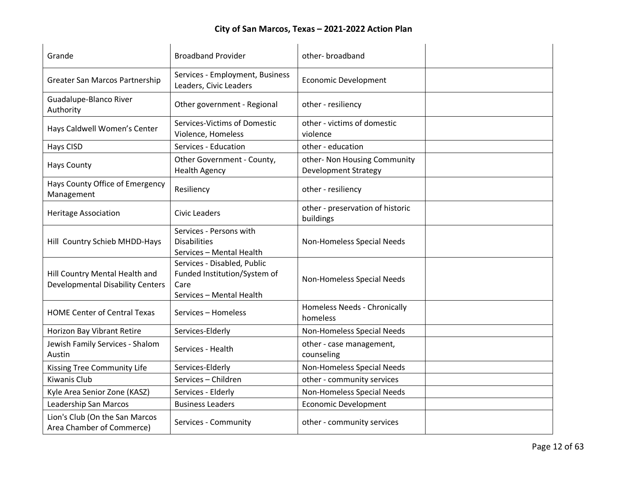| Grande                                                                    | <b>Broadband Provider</b>                                                                       | other-broadband                                             |  |
|---------------------------------------------------------------------------|-------------------------------------------------------------------------------------------------|-------------------------------------------------------------|--|
| Greater San Marcos Partnership                                            | Services - Employment, Business<br>Leaders, Civic Leaders                                       | <b>Economic Development</b>                                 |  |
| Guadalupe-Blanco River<br>Authority                                       | Other government - Regional                                                                     | other - resiliency                                          |  |
| Hays Caldwell Women's Center                                              | Services-Victims of Domestic<br>Violence, Homeless                                              | other - victims of domestic<br>violence                     |  |
| <b>Hays CISD</b>                                                          | Services - Education                                                                            | other - education                                           |  |
| <b>Hays County</b>                                                        | Other Government - County,<br><b>Health Agency</b>                                              | other- Non Housing Community<br><b>Development Strategy</b> |  |
| Hays County Office of Emergency<br>Management                             | Resiliency                                                                                      | other - resiliency                                          |  |
| <b>Heritage Association</b>                                               | <b>Civic Leaders</b>                                                                            | other - preservation of historic<br>buildings               |  |
| Hill Country Schieb MHDD-Hays                                             | Services - Persons with<br><b>Disabilities</b><br>Services - Mental Health                      | Non-Homeless Special Needs                                  |  |
| Hill Country Mental Health and<br><b>Developmental Disability Centers</b> | Services - Disabled, Public<br>Funded Institution/System of<br>Care<br>Services - Mental Health | Non-Homeless Special Needs                                  |  |
| <b>HOME Center of Central Texas</b>                                       | Services - Homeless                                                                             | Homeless Needs - Chronically<br>homeless                    |  |
| Horizon Bay Vibrant Retire                                                | Services-Elderly                                                                                | Non-Homeless Special Needs                                  |  |
| Jewish Family Services - Shalom<br>Austin                                 | Services - Health                                                                               | other - case management,<br>counseling                      |  |
| Kissing Tree Community Life                                               | Services-Elderly                                                                                | Non-Homeless Special Needs                                  |  |
| <b>Kiwanis Club</b>                                                       | Services - Children                                                                             | other - community services                                  |  |
| Kyle Area Senior Zone (KASZ)                                              | Services - Elderly                                                                              | Non-Homeless Special Needs                                  |  |
| Leadership San Marcos                                                     | <b>Business Leaders</b>                                                                         | <b>Economic Development</b>                                 |  |
| Lion's Club (On the San Marcos<br>Area Chamber of Commerce)               | Services - Community                                                                            | other - community services                                  |  |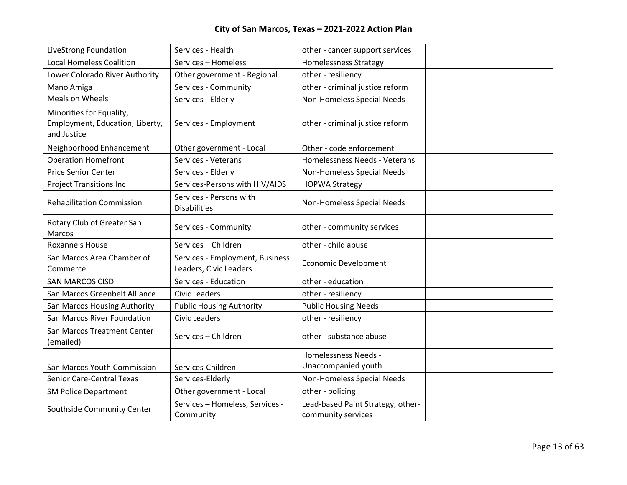| LiveStrong Foundation                                                      | Services - Health                                         | other - cancer support services                    |  |
|----------------------------------------------------------------------------|-----------------------------------------------------------|----------------------------------------------------|--|
| <b>Local Homeless Coalition</b>                                            | Services - Homeless                                       | <b>Homelessness Strategy</b>                       |  |
| Lower Colorado River Authority                                             | Other government - Regional                               | other - resiliency                                 |  |
| Mano Amiga                                                                 | Services - Community                                      | other - criminal justice reform                    |  |
| Meals on Wheels                                                            | Services - Elderly                                        | Non-Homeless Special Needs                         |  |
| Minorities for Equality,<br>Employment, Education, Liberty,<br>and Justice | Services - Employment                                     | other - criminal justice reform                    |  |
| Neighborhood Enhancement                                                   | Other government - Local                                  | Other - code enforcement                           |  |
| <b>Operation Homefront</b>                                                 | Services - Veterans                                       | Homelessness Needs - Veterans                      |  |
| <b>Price Senior Center</b>                                                 | Services - Elderly                                        | Non-Homeless Special Needs                         |  |
| <b>Project Transitions Inc</b>                                             | Services-Persons with HIV/AIDS                            | <b>HOPWA Strategy</b>                              |  |
| <b>Rehabilitation Commission</b>                                           | Services - Persons with<br><b>Disabilities</b>            | Non-Homeless Special Needs                         |  |
| Rotary Club of Greater San<br>Marcos                                       | Services - Community                                      | other - community services                         |  |
| Roxanne's House                                                            | Services - Children                                       | other - child abuse                                |  |
| San Marcos Area Chamber of<br>Commerce                                     | Services - Employment, Business<br>Leaders, Civic Leaders | <b>Economic Development</b>                        |  |
| <b>SAN MARCOS CISD</b>                                                     | Services - Education                                      | other - education                                  |  |
| San Marcos Greenbelt Alliance                                              | <b>Civic Leaders</b>                                      | other - resiliency                                 |  |
| San Marcos Housing Authority                                               | <b>Public Housing Authority</b>                           | <b>Public Housing Needs</b>                        |  |
| San Marcos River Foundation                                                | <b>Civic Leaders</b>                                      | other - resiliency                                 |  |
| San Marcos Treatment Center<br>(emailed)                                   | Services - Children                                       | other - substance abuse                            |  |
| San Marcos Youth Commission                                                | Services-Children                                         | <b>Homelessness Needs -</b><br>Unaccompanied youth |  |
| <b>Senior Care-Central Texas</b>                                           | Services-Elderly                                          | Non-Homeless Special Needs                         |  |
| <b>SM Police Department</b>                                                | Other government - Local                                  | other - policing                                   |  |
|                                                                            | Services - Homeless, Services -                           | Lead-based Paint Strategy, other-                  |  |
| Southside Community Center                                                 | Community                                                 | community services                                 |  |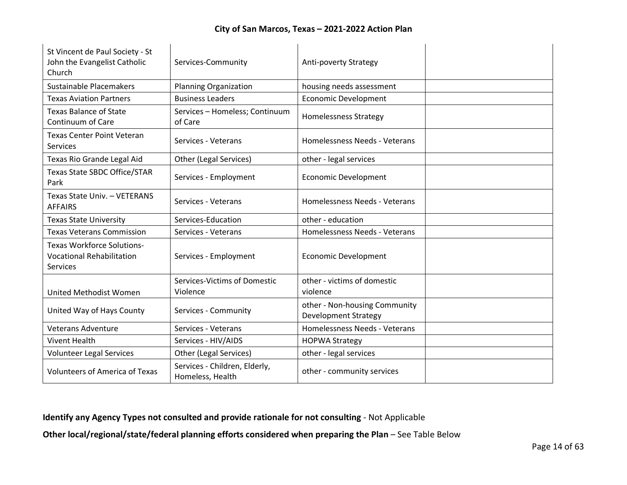| St Vincent de Paul Society - St<br>John the Evangelist Catholic<br>Church                | Services-Community                                | Anti-poverty Strategy                                        |  |
|------------------------------------------------------------------------------------------|---------------------------------------------------|--------------------------------------------------------------|--|
| Sustainable Placemakers                                                                  | <b>Planning Organization</b>                      | housing needs assessment                                     |  |
| <b>Texas Aviation Partners</b>                                                           | <b>Business Leaders</b>                           | <b>Economic Development</b>                                  |  |
| <b>Texas Balance of State</b><br>Continuum of Care                                       | Services - Homeless; Continuum<br>of Care         | <b>Homelessness Strategy</b>                                 |  |
| <b>Texas Center Point Veteran</b><br><b>Services</b>                                     | Services - Veterans                               | Homelessness Needs - Veterans                                |  |
| Texas Rio Grande Legal Aid                                                               | Other (Legal Services)                            | other - legal services                                       |  |
| Texas State SBDC Office/STAR<br>Park                                                     | Services - Employment                             | <b>Economic Development</b>                                  |  |
| Texas State Univ. - VETERANS<br><b>AFFAIRS</b>                                           | Services - Veterans                               | Homelessness Needs - Veterans                                |  |
| <b>Texas State University</b>                                                            | Services-Education                                | other - education                                            |  |
| <b>Texas Veterans Commission</b>                                                         | Services - Veterans                               | Homelessness Needs - Veterans                                |  |
| <b>Texas Workforce Solutions-</b><br><b>Vocational Rehabilitation</b><br><b>Services</b> | Services - Employment                             | <b>Economic Development</b>                                  |  |
| United Methodist Women                                                                   | Services-Victims of Domestic<br>Violence          | other - victims of domestic<br>violence                      |  |
| United Way of Hays County                                                                | Services - Community                              | other - Non-housing Community<br><b>Development Strategy</b> |  |
| <b>Veterans Adventure</b>                                                                | Services - Veterans                               | Homelessness Needs - Veterans                                |  |
| <b>Vivent Health</b>                                                                     | Services - HIV/AIDS                               | <b>HOPWA Strategy</b>                                        |  |
| <b>Volunteer Legal Services</b>                                                          | Other (Legal Services)                            | other - legal services                                       |  |
| <b>Volunteers of America of Texas</b>                                                    | Services - Children, Elderly,<br>Homeless, Health | other - community services                                   |  |

**Identify any Agency Types not consulted and provide rationale for not consulting** - Not Applicable

**Other local/regional/state/federal planning efforts considered when preparing the Plan** – See Table Below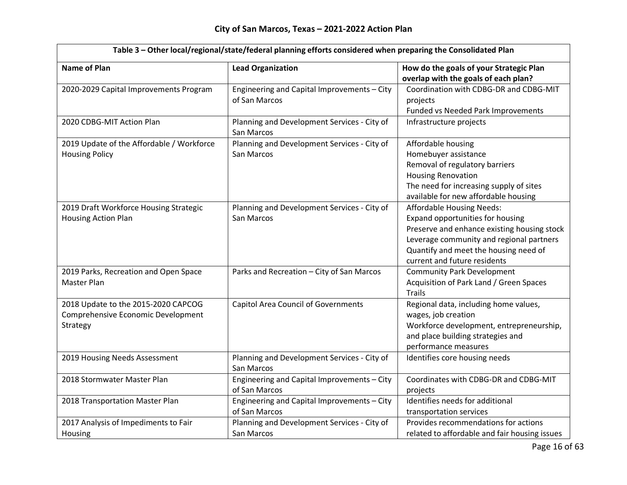| Table 3 - Other local/regional/state/federal planning efforts considered when preparing the Consolidated Plan |                                             |                                               |  |
|---------------------------------------------------------------------------------------------------------------|---------------------------------------------|-----------------------------------------------|--|
| <b>Name of Plan</b>                                                                                           | <b>Lead Organization</b>                    | How do the goals of your Strategic Plan       |  |
|                                                                                                               |                                             | overlap with the goals of each plan?          |  |
| 2020-2029 Capital Improvements Program                                                                        | Engineering and Capital Improvements - City | Coordination with CDBG-DR and CDBG-MIT        |  |
|                                                                                                               | of San Marcos                               | projects                                      |  |
|                                                                                                               |                                             | Funded vs Needed Park Improvements            |  |
| 2020 CDBG-MIT Action Plan                                                                                     | Planning and Development Services - City of | Infrastructure projects                       |  |
|                                                                                                               | San Marcos                                  |                                               |  |
| 2019 Update of the Affordable / Workforce                                                                     | Planning and Development Services - City of | Affordable housing                            |  |
| <b>Housing Policy</b>                                                                                         | San Marcos                                  | Homebuyer assistance                          |  |
|                                                                                                               |                                             | Removal of regulatory barriers                |  |
|                                                                                                               |                                             | <b>Housing Renovation</b>                     |  |
|                                                                                                               |                                             | The need for increasing supply of sites       |  |
|                                                                                                               |                                             | available for new affordable housing          |  |
| 2019 Draft Workforce Housing Strategic                                                                        | Planning and Development Services - City of | <b>Affordable Housing Needs:</b>              |  |
| <b>Housing Action Plan</b>                                                                                    | San Marcos                                  | Expand opportunities for housing              |  |
|                                                                                                               |                                             | Preserve and enhance existing housing stock   |  |
|                                                                                                               |                                             | Leverage community and regional partners      |  |
|                                                                                                               |                                             | Quantify and meet the housing need of         |  |
|                                                                                                               |                                             | current and future residents                  |  |
| 2019 Parks, Recreation and Open Space                                                                         | Parks and Recreation - City of San Marcos   | <b>Community Park Development</b>             |  |
| Master Plan                                                                                                   |                                             | Acquisition of Park Land / Green Spaces       |  |
|                                                                                                               |                                             | <b>Trails</b>                                 |  |
| 2018 Update to the 2015-2020 CAPCOG                                                                           | <b>Capitol Area Council of Governments</b>  | Regional data, including home values,         |  |
| Comprehensive Economic Development                                                                            |                                             | wages, job creation                           |  |
| Strategy                                                                                                      |                                             | Workforce development, entrepreneurship,      |  |
|                                                                                                               |                                             | and place building strategies and             |  |
|                                                                                                               |                                             | performance measures                          |  |
| 2019 Housing Needs Assessment                                                                                 | Planning and Development Services - City of | Identifies core housing needs                 |  |
|                                                                                                               | San Marcos                                  |                                               |  |
| 2018 Stormwater Master Plan                                                                                   | Engineering and Capital Improvements - City | Coordinates with CDBG-DR and CDBG-MIT         |  |
|                                                                                                               | of San Marcos                               | projects                                      |  |
| 2018 Transportation Master Plan                                                                               | Engineering and Capital Improvements - City | Identifies needs for additional               |  |
|                                                                                                               | of San Marcos                               | transportation services                       |  |
| 2017 Analysis of Impediments to Fair                                                                          | Planning and Development Services - City of | Provides recommendations for actions          |  |
| Housing                                                                                                       | San Marcos                                  | related to affordable and fair housing issues |  |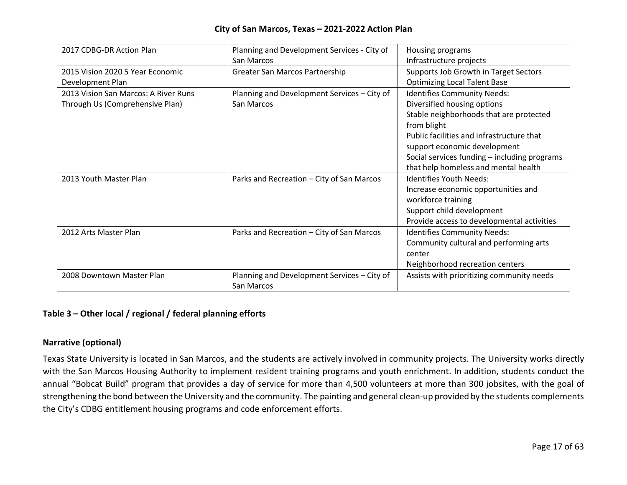| 2017 CDBG-DR Action Plan             | Planning and Development Services - City of               | Housing programs                             |
|--------------------------------------|-----------------------------------------------------------|----------------------------------------------|
|                                      | San Marcos                                                | Infrastructure projects                      |
| 2015 Vision 2020 5 Year Economic     | Greater San Marcos Partnership                            | Supports Job Growth in Target Sectors        |
| Development Plan                     |                                                           | <b>Optimizing Local Talent Base</b>          |
| 2013 Vision San Marcos: A River Runs | Planning and Development Services - City of               | <b>Identifies Community Needs:</b>           |
| Through Us (Comprehensive Plan)      | San Marcos                                                | Diversified housing options                  |
|                                      |                                                           | Stable neighborhoods that are protected      |
|                                      |                                                           | from blight                                  |
|                                      |                                                           | Public facilities and infrastructure that    |
|                                      |                                                           | support economic development                 |
|                                      |                                                           | Social services funding - including programs |
|                                      |                                                           | that help homeless and mental health         |
| 2013 Youth Master Plan               | Parks and Recreation - City of San Marcos                 | Identifies Youth Needs:                      |
|                                      |                                                           | Increase economic opportunities and          |
|                                      |                                                           | workforce training                           |
|                                      |                                                           | Support child development                    |
|                                      |                                                           | Provide access to developmental activities   |
| 2012 Arts Master Plan                | Parks and Recreation - City of San Marcos                 | <b>Identifies Community Needs:</b>           |
|                                      |                                                           | Community cultural and performing arts       |
|                                      |                                                           | center                                       |
|                                      |                                                           | Neighborhood recreation centers              |
| 2008 Downtown Master Plan            | Planning and Development Services - City of<br>San Marcos | Assists with prioritizing community needs    |

# **Table 3 – Other local / regional / federal planning efforts**

## **Narrative (optional)**

Texas State University is located in San Marcos, and the students are actively involved in community projects. The University works directly with the San Marcos Housing Authority to implement resident training programs and youth enrichment. In addition, students conduct the annual "Bobcat Build" program that provides a day of service for more than 4,500 volunteers at more than 300 jobsites, with the goal of strengthening the bond between the University and the community. The painting and general clean-up provided by the students complements the City's CDBG entitlement housing programs and code enforcement efforts.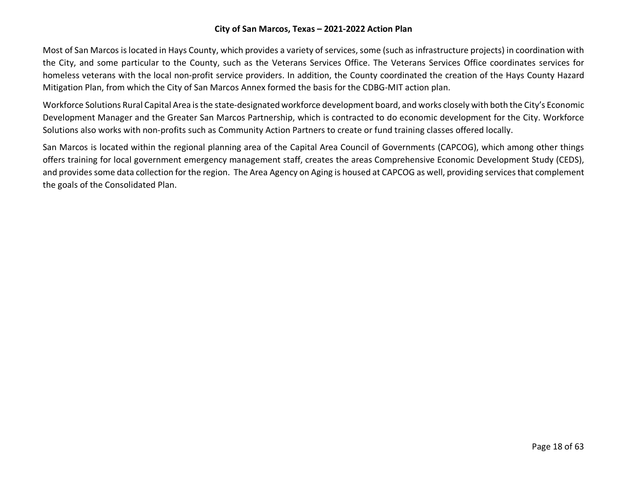Most of San Marcos is located in Hays County, which provides a variety of services, some (such as infrastructure projects) in coordination with the City, and some particular to the County, such as the Veterans Services Office. The Veterans Services Office coordinates services for homeless veterans with the local non-profit service providers. In addition, the County coordinated the creation of the Hays County Hazard Mitigation Plan, from which the City of San Marcos Annex formed the basis for the CDBG-MIT action plan.

Workforce Solutions Rural Capital Area is the state-designated workforce development board, and works closely with both the City's Economic Development Manager and the Greater San Marcos Partnership, which is contracted to do economic development for the City. Workforce Solutions also works with non-profits such as Community Action Partners to create or fund training classes offered locally.

San Marcos is located within the regional planning area of the Capital Area Council of Governments (CAPCOG), which among other things offers training for local government emergency management staff, creates the areas Comprehensive Economic Development Study (CEDS), and provides some data collection for the region. The Area Agency on Aging is housed at CAPCOG as well, providing services that complement the goals of the Consolidated Plan.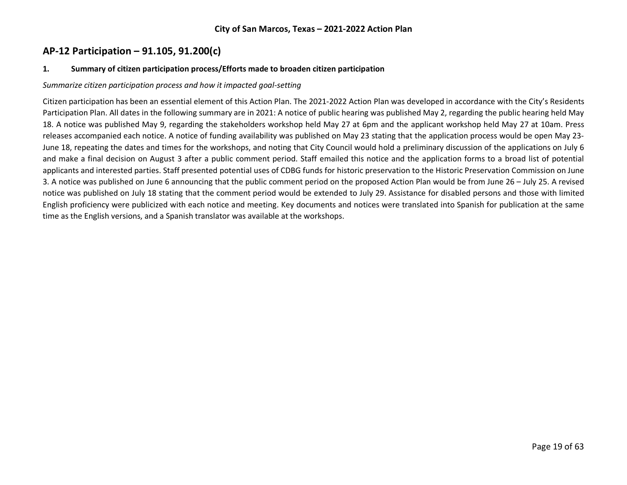# **AP-12 Participation – 91.105, 91.200(c)**

#### **1. Summary of citizen participation process/Efforts made to broaden citizen participation**

#### *Summarize citizen participation process and how it impacted goal-setting*

Citizen participation has been an essential element of this Action Plan. The 2021-2022 Action Plan was developed in accordance with the City's Residents Participation Plan. All dates in the following summary are in 2021: A notice of public hearing was published May 2, regarding the public hearing held May 18. A notice was published May 9, regarding the stakeholders workshop held May 27 at 6pm and the applicant workshop held May 27 at 10am. Press releases accompanied each notice. A notice of funding availability was published on May 23 stating that the application process would be open May 23- June 18, repeating the dates and times for the workshops, and noting that City Council would hold a preliminary discussion of the applications on July 6 and make a final decision on August 3 after a public comment period. Staff emailed this notice and the application forms to a broad list of potential applicants and interested parties. Staff presented potential uses of CDBG funds for historic preservation to the Historic Preservation Commission on June 3. A notice was published on June 6 announcing that the public comment period on the proposed Action Plan would be from June 26 – July 25. A revised notice was published on July 18 stating that the comment period would be extended to July 29. Assistance for disabled persons and those with limited English proficiency were publicized with each notice and meeting. Key documents and notices were translated into Spanish for publication at the same time as the English versions, and a Spanish translator was available at the workshops.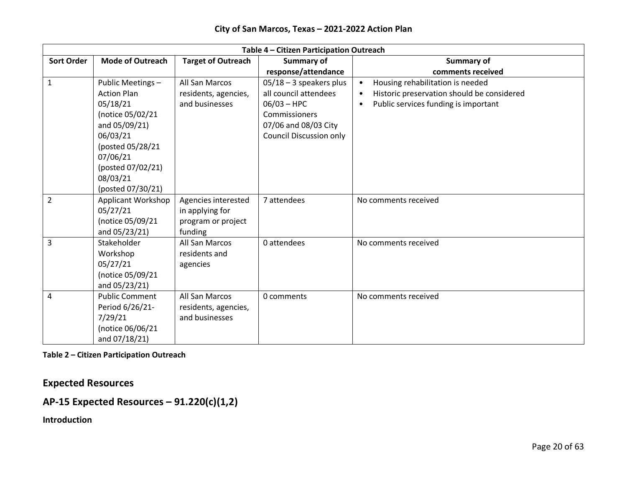|                   | Table 4 - Citizen Participation Outreach |                           |                                |                                            |  |
|-------------------|------------------------------------------|---------------------------|--------------------------------|--------------------------------------------|--|
| <b>Sort Order</b> | <b>Mode of Outreach</b>                  | <b>Target of Outreach</b> | Summary of                     | <b>Summary of</b>                          |  |
|                   |                                          |                           | response/attendance            | comments received                          |  |
| $\mathbf{1}$      | Public Meetings -                        | All San Marcos            | $05/18 - 3$ speakers plus      | Housing rehabilitation is needed           |  |
|                   | <b>Action Plan</b>                       | residents, agencies,      | all council attendees          | Historic preservation should be considered |  |
|                   | 05/18/21                                 | and businesses            | $06/03 - HPC$                  | Public services funding is important       |  |
|                   | (notice 05/02/21                         |                           | <b>Commissioners</b>           |                                            |  |
|                   | and 05/09/21)                            |                           | 07/06 and 08/03 City           |                                            |  |
|                   | 06/03/21                                 |                           | <b>Council Discussion only</b> |                                            |  |
|                   | (posted 05/28/21                         |                           |                                |                                            |  |
|                   | 07/06/21                                 |                           |                                |                                            |  |
|                   | (posted 07/02/21)                        |                           |                                |                                            |  |
|                   | 08/03/21                                 |                           |                                |                                            |  |
|                   | (posted 07/30/21)                        |                           |                                |                                            |  |
| $\overline{2}$    | Applicant Workshop                       | Agencies interested       | 7 attendees                    | No comments received                       |  |
|                   | 05/27/21                                 | in applying for           |                                |                                            |  |
|                   | (notice 05/09/21                         | program or project        |                                |                                            |  |
|                   | and 05/23/21)                            | funding                   |                                |                                            |  |
| 3                 | Stakeholder                              | All San Marcos            | 0 attendees                    | No comments received                       |  |
|                   | Workshop                                 | residents and             |                                |                                            |  |
|                   | 05/27/21                                 | agencies                  |                                |                                            |  |
|                   | (notice 05/09/21                         |                           |                                |                                            |  |
|                   | and 05/23/21)                            |                           |                                |                                            |  |
| 4                 | <b>Public Comment</b>                    | All San Marcos            | 0 comments                     | No comments received                       |  |
|                   | Period 6/26/21-                          | residents, agencies,      |                                |                                            |  |
|                   | 7/29/21                                  | and businesses            |                                |                                            |  |
|                   | (notice 06/06/21                         |                           |                                |                                            |  |
|                   | and 07/18/21)                            |                           |                                |                                            |  |

**Table 2 – Citizen Participation Outreach**

**Expected Resources** 

# **AP-15 Expected Resources – 91.220(c)(1,2)**

**Introduction**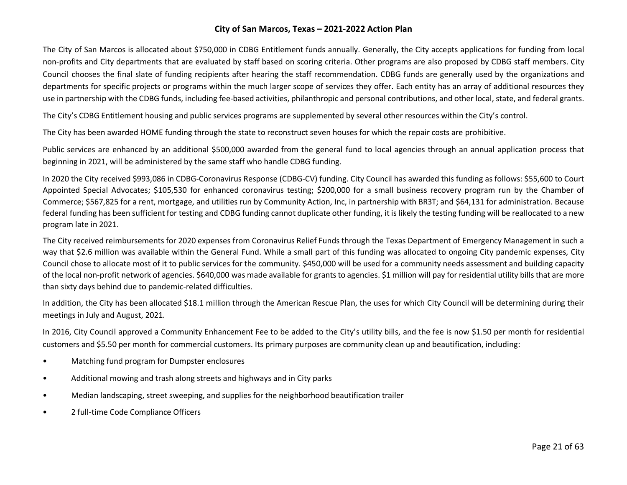The City of San Marcos is allocated about \$750,000 in CDBG Entitlement funds annually. Generally, the City accepts applications for funding from local non-profits and City departments that are evaluated by staff based on scoring criteria. Other programs are also proposed by CDBG staff members. City Council chooses the final slate of funding recipients after hearing the staff recommendation. CDBG funds are generally used by the organizations and departments for specific projects or programs within the much larger scope of services they offer. Each entity has an array of additional resources they use in partnership with the CDBG funds, including fee-based activities, philanthropic and personal contributions, and other local, state, and federal grants.

The City's CDBG Entitlement housing and public services programs are supplemented by several other resources within the City's control.

The City has been awarded HOME funding through the state to reconstruct seven houses for which the repair costs are prohibitive.

Public services are enhanced by an additional \$500,000 awarded from the general fund to local agencies through an annual application process that beginning in 2021, will be administered by the same staff who handle CDBG funding.

In 2020 the City received \$993,086 in CDBG-Coronavirus Response (CDBG-CV) funding. City Council has awarded this funding as follows: \$55,600 to Court Appointed Special Advocates; \$105,530 for enhanced coronavirus testing; \$200,000 for a small business recovery program run by the Chamber of Commerce; \$567,825 for a rent, mortgage, and utilities run by Community Action, Inc, in partnership with BR3T; and \$64,131 for administration. Because federal funding has been sufficient for testing and CDBG funding cannot duplicate other funding, it is likely the testing funding will be reallocated to a new program late in 2021.

The City received reimbursements for 2020 expenses from Coronavirus Relief Funds through the Texas Department of Emergency Management in such a way that \$2.6 million was available within the General Fund. While a small part of this funding was allocated to ongoing City pandemic expenses, City Council chose to allocate most of it to public services for the community. \$450,000 will be used for a community needs assessment and building capacity of the local non-profit network of agencies. \$640,000 was made available for grants to agencies. \$1 million will pay for residential utility bills that are more than sixty days behind due to pandemic-related difficulties.

In addition, the City has been allocated \$18.1 million through the American Rescue Plan, the uses for which City Council will be determining during their meetings in July and August, 2021.

In 2016, City Council approved a Community Enhancement Fee to be added to the City's utility bills, and the fee is now \$1.50 per month for residential customers and \$5.50 per month for commercial customers. Its primary purposes are community clean up and beautification, including:

- Matching fund program for Dumpster enclosures
- Additional mowing and trash along streets and highways and in City parks
- Median landscaping, street sweeping, and supplies for the neighborhood beautification trailer
- 2 full-time Code Compliance Officers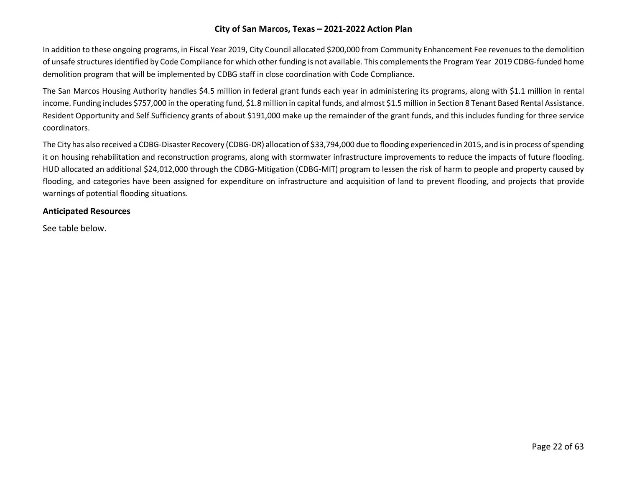In addition to these ongoing programs, in Fiscal Year 2019, City Council allocated \$200,000 from Community Enhancement Fee revenues to the demolition of unsafe structures identified by Code Compliance for which other funding is not available. This complements the Program Year 2019 CDBG-funded home demolition program that will be implemented by CDBG staff in close coordination with Code Compliance.

The San Marcos Housing Authority handles \$4.5 million in federal grant funds each year in administering its programs, along with \$1.1 million in rental income. Funding includes \$757,000 in the operating fund, \$1.8 million in capital funds, and almost \$1.5 million in Section 8 Tenant Based Rental Assistance. Resident Opportunity and Self Sufficiency grants of about \$191,000 make up the remainder of the grant funds, and this includes funding for three service coordinators.

The City has also received a CDBG-Disaster Recovery (CDBG-DR) allocation of \$33,794,000 due to flooding experienced in 2015, and is in process of spending it on housing rehabilitation and reconstruction programs, along with stormwater infrastructure improvements to reduce the impacts of future flooding. HUD allocated an additional \$24,012,000 through the CDBG-Mitigation (CDBG-MIT) program to lessen the risk of harm to people and property caused by flooding, and categories have been assigned for expenditure on infrastructure and acquisition of land to prevent flooding, and projects that provide warnings of potential flooding situations.

## **Anticipated Resources**

See table below.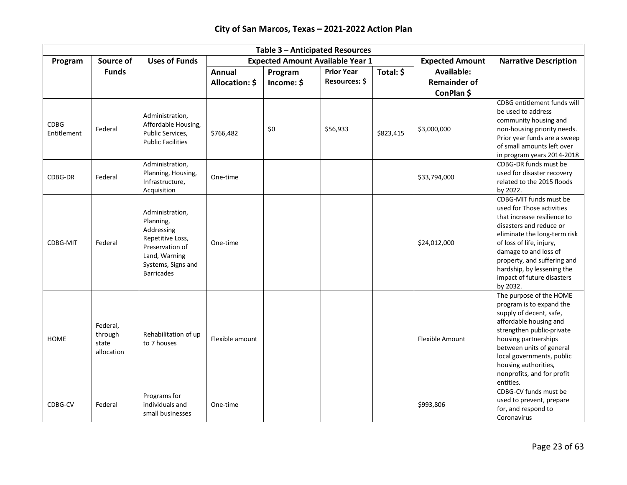| Table 3 - Anticipated Resources |                                            |                                                                                                                                               |                 |                                         |                   |           |                        |                                                                                                                                                                                                                                                                                                           |
|---------------------------------|--------------------------------------------|-----------------------------------------------------------------------------------------------------------------------------------------------|-----------------|-----------------------------------------|-------------------|-----------|------------------------|-----------------------------------------------------------------------------------------------------------------------------------------------------------------------------------------------------------------------------------------------------------------------------------------------------------|
| Program                         | Source of                                  | <b>Uses of Funds</b>                                                                                                                          |                 | <b>Expected Amount Available Year 1</b> |                   |           | <b>Expected Amount</b> | <b>Narrative Description</b>                                                                                                                                                                                                                                                                              |
|                                 | <b>Funds</b>                               |                                                                                                                                               | Annual          | Program                                 | <b>Prior Year</b> | Total: \$ | Available:             |                                                                                                                                                                                                                                                                                                           |
|                                 |                                            |                                                                                                                                               | Allocation: \$  | Income: \$                              | Resources: \$     |           | <b>Remainder of</b>    |                                                                                                                                                                                                                                                                                                           |
|                                 |                                            |                                                                                                                                               |                 |                                         |                   |           | ConPlan \$             |                                                                                                                                                                                                                                                                                                           |
| <b>CDBG</b><br>Entitlement      | Federal                                    | Administration,<br>Affordable Housing,<br>Public Services,<br><b>Public Facilities</b>                                                        | \$766,482       | \$0                                     | \$56,933          | \$823,415 | \$3,000,000            | CDBG entitlement funds will<br>be used to address<br>community housing and<br>non-housing priority needs.<br>Prior year funds are a sweep<br>of small amounts left over<br>in program years 2014-2018                                                                                                     |
| CDBG-DR                         | Federal                                    | Administration,<br>Planning, Housing,<br>Infrastructure,<br>Acquisition                                                                       | One-time        |                                         |                   |           | \$33,794,000           | CDBG-DR funds must be<br>used for disaster recovery<br>related to the 2015 floods<br>by 2022.                                                                                                                                                                                                             |
| <b>CDBG-MIT</b>                 | Federal                                    | Administration,<br>Planning,<br>Addressing<br>Repetitive Loss,<br>Preservation of<br>Land, Warning<br>Systems, Signs and<br><b>Barricades</b> | One-time        |                                         |                   |           | \$24,012,000           | CDBG-MIT funds must be<br>used for Those activities<br>that increase resilience to<br>disasters and reduce or<br>eliminate the long-term risk<br>of loss of life, injury,<br>damage to and loss of<br>property, and suffering and<br>hardship, by lessening the<br>impact of future disasters<br>by 2032. |
| <b>HOME</b>                     | Federal,<br>through<br>state<br>allocation | Rehabilitation of up<br>to 7 houses                                                                                                           | Flexible amount |                                         |                   |           | <b>Flexible Amount</b> | The purpose of the HOME<br>program is to expand the<br>supply of decent, safe,<br>affordable housing and<br>strengthen public-private<br>housing partnerships<br>between units of general<br>local governments, public<br>housing authorities,<br>nonprofits, and for profit<br>entities.                 |
| CDBG-CV                         | Federal                                    | Programs for<br>individuals and<br>small businesses                                                                                           | One-time        |                                         |                   |           | \$993,806              | CDBG-CV funds must be<br>used to prevent, prepare<br>for, and respond to<br>Coronavirus                                                                                                                                                                                                                   |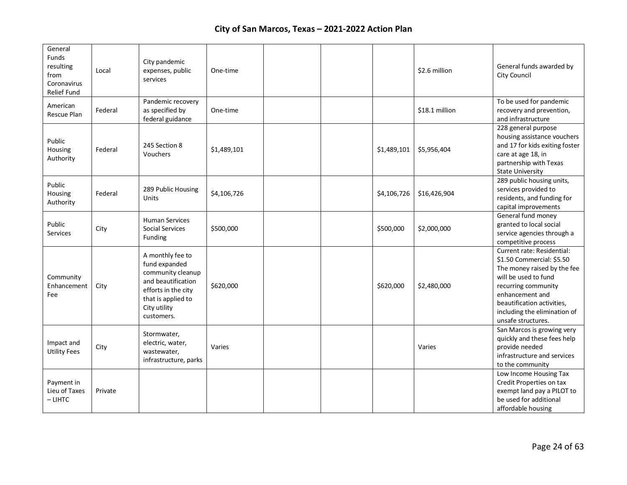| General<br>Funds<br>resulting<br>from<br>Coronavirus<br>Relief Fund | Local   | City pandemic<br>expenses, public<br>services                                                                                                           | One-time    |  |             | \$2.6 million  | General funds awarded by<br>City Council                                                                                                                                                                                                            |
|---------------------------------------------------------------------|---------|---------------------------------------------------------------------------------------------------------------------------------------------------------|-------------|--|-------------|----------------|-----------------------------------------------------------------------------------------------------------------------------------------------------------------------------------------------------------------------------------------------------|
| American<br>Rescue Plan                                             | Federal | Pandemic recovery<br>as specified by<br>federal guidance                                                                                                | One-time    |  |             | \$18.1 million | To be used for pandemic<br>recovery and prevention,<br>and infrastructure                                                                                                                                                                           |
| Public<br>Housing<br>Authority                                      | Federal | 245 Section 8<br>Vouchers                                                                                                                               | \$1,489,101 |  | \$1,489,101 | \$5,956,404    | 228 general purpose<br>housing assistance vouchers<br>and 17 for kids exiting foster<br>care at age 18, in<br>partnership with Texas<br><b>State University</b>                                                                                     |
| Public<br>Housing<br>Authority                                      | Federal | 289 Public Housing<br>Units                                                                                                                             | \$4,106,726 |  | \$4,106,726 | \$16,426,904   | 289 public housing units,<br>services provided to<br>residents, and funding for<br>capital improvements                                                                                                                                             |
| Public<br>Services                                                  | City    | <b>Human Services</b><br><b>Social Services</b><br>Funding                                                                                              | \$500,000   |  | \$500,000   | \$2,000,000    | General fund money<br>granted to local social<br>service agencies through a<br>competitive process                                                                                                                                                  |
| Community<br>Enhancement<br>Fee                                     | City    | A monthly fee to<br>fund expanded<br>community cleanup<br>and beautification<br>efforts in the city<br>that is applied to<br>City utility<br>customers. | \$620,000   |  | \$620,000   | \$2,480,000    | <b>Current rate: Residential:</b><br>\$1.50 Commercial: \$5.50<br>The money raised by the fee<br>will be used to fund<br>recurring community<br>enhancement and<br>beautification activities,<br>including the elimination of<br>unsafe structures. |
| Impact and<br><b>Utility Fees</b>                                   | City    | Stormwater,<br>electric, water,<br>wastewater,<br>infrastructure, parks                                                                                 | Varies      |  |             | Varies         | San Marcos is growing very<br>quickly and these fees help<br>provide needed<br>infrastructure and services<br>to the community                                                                                                                      |
| Payment in<br>Lieu of Taxes<br>$-$ LIHTC                            | Private |                                                                                                                                                         |             |  |             |                | Low Income Housing Tax<br>Credit Properties on tax<br>exempt land pay a PILOT to<br>be used for additional<br>affordable housing                                                                                                                    |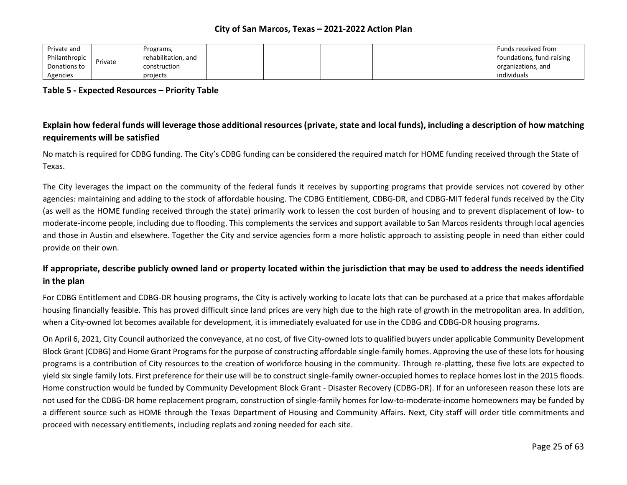| Private and   |         | Programs,           |  |  | Funds received from       |
|---------------|---------|---------------------|--|--|---------------------------|
| Philanthropic | Private | rehabilitation, and |  |  | foundations, fund-raising |
| Donations to  |         | construction        |  |  | organizations, and        |
| Agencies      |         | projects            |  |  | individuals               |

**Table 5 - Expected Resources – Priority Table**

# **Explain how federal funds will leverage those additional resources (private, state and local funds), including a description of how matching requirements will be satisfied**

No match is required for CDBG funding. The City's CDBG funding can be considered the required match for HOME funding received through the State of Texas.

The City leverages the impact on the community of the federal funds it receives by supporting programs that provide services not covered by other agencies: maintaining and adding to the stock of affordable housing. The CDBG Entitlement, CDBG-DR, and CDBG-MIT federal funds received by the City (as well as the HOME funding received through the state) primarily work to lessen the cost burden of housing and to prevent displacement of low- to moderate-income people, including due to flooding. This complements the services and support available to San Marcos residents through local agencies and those in Austin and elsewhere. Together the City and service agencies form a more holistic approach to assisting people in need than either could provide on their own.

# **If appropriate, describe publicly owned land or property located within the jurisdiction that may be used to address the needs identified in the plan**

For CDBG Entitlement and CDBG-DR housing programs, the City is actively working to locate lots that can be purchased at a price that makes affordable housing financially feasible. This has proved difficult since land prices are very high due to the high rate of growth in the metropolitan area. In addition, when a City-owned lot becomes available for development, it is immediately evaluated for use in the CDBG and CDBG-DR housing programs.

On April 6, 2021, City Council authorized the conveyance, at no cost, of five City-owned lots to qualified buyers under applicable Community Development Block Grant (CDBG) and Home Grant Programs for the purpose of constructing affordable single-family homes. Approving the use of these lots for housing programs is a contribution of City resources to the creation of workforce housing in the community. Through re-platting, these five lots are expected to yield six single family lots. First preference for their use will be to construct single-family owner-occupied homes to replace homes lost in the 2015 floods. Home construction would be funded by Community Development Block Grant - Disaster Recovery (CDBG-DR). If for an unforeseen reason these lots are not used for the CDBG-DR home replacement program, construction of single-family homes for low-to-moderate-income homeowners may be funded by a different source such as HOME through the Texas Department of Housing and Community Affairs. Next, City staff will order title commitments and proceed with necessary entitlements, including replats and zoning needed for each site.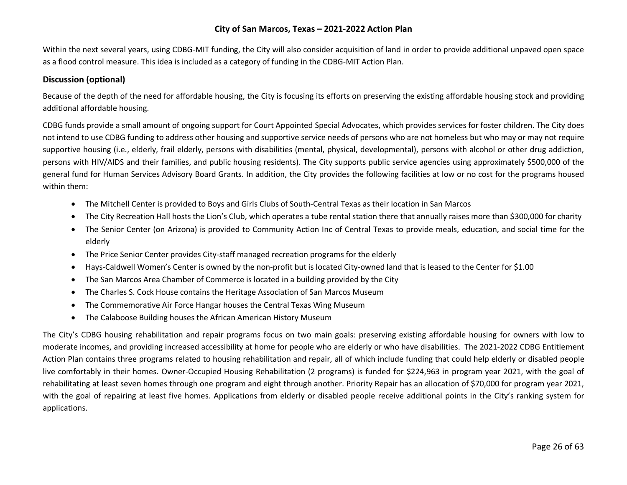Within the next several years, using CDBG-MIT funding, the City will also consider acquisition of land in order to provide additional unpaved open space as a flood control measure. This idea is included as a category of funding in the CDBG-MIT Action Plan.

### **Discussion (optional)**

Because of the depth of the need for affordable housing, the City is focusing its efforts on preserving the existing affordable housing stock and providing additional affordable housing.

CDBG funds provide a small amount of ongoing support for Court Appointed Special Advocates, which provides services for foster children. The City does not intend to use CDBG funding to address other housing and supportive service needs of persons who are not homeless but who may or may not require supportive housing (i.e., elderly, frail elderly, persons with disabilities (mental, physical, developmental), persons with alcohol or other drug addiction, persons with HIV/AIDS and their families, and public housing residents). The City supports public service agencies using approximately \$500,000 of the general fund for Human Services Advisory Board Grants. In addition, the City provides the following facilities at low or no cost for the programs housed within them:

- The Mitchell Center is provided to Boys and Girls Clubs of South-Central Texas as their location in San Marcos
- The City Recreation Hall hosts the Lion's Club, which operates a tube rental station there that annually raises more than \$300,000 for charity
- The Senior Center (on Arizona) is provided to Community Action Inc of Central Texas to provide meals, education, and social time for the elderly
- The Price Senior Center provides City-staff managed recreation programs for the elderly
- Hays-Caldwell Women's Center is owned by the non-profit but is located City-owned land that is leased to the Center for \$1.00
- The San Marcos Area Chamber of Commerce is located in a building provided by the City
- The Charles S. Cock House contains the Heritage Association of San Marcos Museum
- The Commemorative Air Force Hangar houses the Central Texas Wing Museum
- The Calaboose Building houses the African American History Museum

The City's CDBG housing rehabilitation and repair programs focus on two main goals: preserving existing affordable housing for owners with low to moderate incomes, and providing increased accessibility at home for people who are elderly or who have disabilities. The 2021-2022 CDBG Entitlement Action Plan contains three programs related to housing rehabilitation and repair, all of which include funding that could help elderly or disabled people live comfortably in their homes. Owner-Occupied Housing Rehabilitation (2 programs) is funded for \$224,963 in program year 2021, with the goal of rehabilitating at least seven homes through one program and eight through another. Priority Repair has an allocation of \$70,000 for program year 2021, with the goal of repairing at least five homes. Applications from elderly or disabled people receive additional points in the City's ranking system for applications.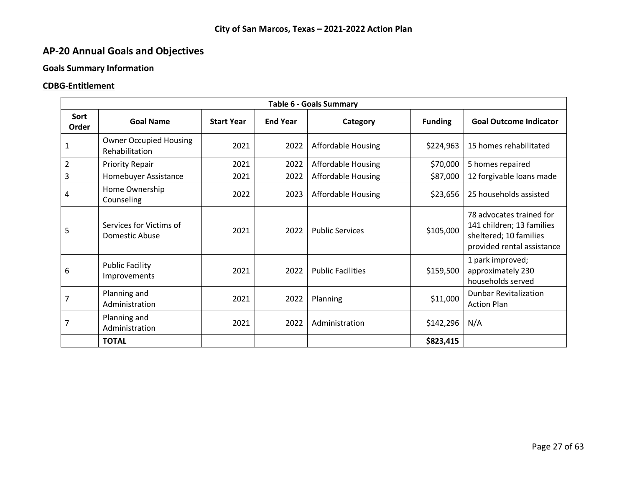# **AP-20 Annual Goals and Objectives**

# **Goals Summary Information**

# **CDBG-Entitlement**

| <b>Table 6 - Goals Summary</b> |                                                 |                   |                 |                           |                |                                                                                                               |  |  |  |  |  |
|--------------------------------|-------------------------------------------------|-------------------|-----------------|---------------------------|----------------|---------------------------------------------------------------------------------------------------------------|--|--|--|--|--|
| Sort<br>Order                  | <b>Goal Name</b>                                | <b>Start Year</b> | <b>End Year</b> | Category                  | <b>Funding</b> | <b>Goal Outcome Indicator</b>                                                                                 |  |  |  |  |  |
| 1                              | <b>Owner Occupied Housing</b><br>Rehabilitation | 2021              | 2022            | <b>Affordable Housing</b> | \$224,963      | 15 homes rehabilitated                                                                                        |  |  |  |  |  |
| $\overline{2}$                 | <b>Priority Repair</b>                          | 2021              | 2022            | Affordable Housing        | \$70,000       | 5 homes repaired                                                                                              |  |  |  |  |  |
| 3                              | Homebuyer Assistance                            | 2021              | 2022            | <b>Affordable Housing</b> | \$87,000       | 12 forgivable loans made                                                                                      |  |  |  |  |  |
| 4                              | Home Ownership<br>Counseling                    | 2022              | 2023            | Affordable Housing        | \$23,656       | 25 households assisted                                                                                        |  |  |  |  |  |
| 5                              | Services for Victims of<br>Domestic Abuse       | 2021              | 2022            | <b>Public Services</b>    | \$105,000      | 78 advocates trained for<br>141 children; 13 families<br>sheltered; 10 families<br>provided rental assistance |  |  |  |  |  |
| 6                              | <b>Public Facility</b><br>Improvements          | 2021              | 2022            | <b>Public Facilities</b>  | \$159,500      | 1 park improved;<br>approximately 230<br>households served                                                    |  |  |  |  |  |
| 7                              | Planning and<br>Administration                  | 2021              | 2022            | Planning                  | \$11,000       | <b>Dunbar Revitalization</b><br><b>Action Plan</b>                                                            |  |  |  |  |  |
| 7                              | Planning and<br>Administration                  | 2021              | 2022            | Administration            | \$142,296      | N/A                                                                                                           |  |  |  |  |  |
|                                | <b>TOTAL</b>                                    |                   |                 |                           | \$823,415      |                                                                                                               |  |  |  |  |  |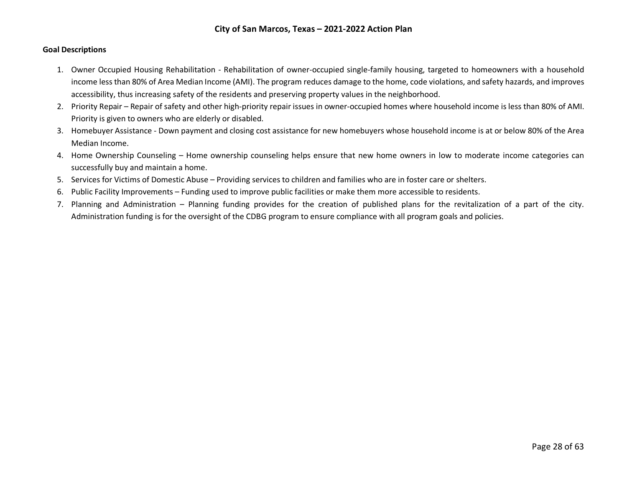#### **Goal Descriptions**

- 1. Owner Occupied Housing Rehabilitation Rehabilitation of owner-occupied single-family housing, targeted to homeowners with a household income less than 80% of Area Median Income (AMI). The program reduces damage to the home, code violations, and safety hazards, and improves accessibility, thus increasing safety of the residents and preserving property values in the neighborhood.
- 2. Priority Repair Repair of safety and other high-priority repair issues in owner-occupied homes where household income is less than 80% of AMI. Priority is given to owners who are elderly or disabled.
- 3. Homebuyer Assistance Down payment and closing cost assistance for new homebuyers whose household income is at or below 80% of the Area Median Income.
- 4. Home Ownership Counseling Home ownership counseling helps ensure that new home owners in low to moderate income categories can successfully buy and maintain a home.
- 5. Services for Victims of Domestic Abuse Providing services to children and families who are in foster care or shelters.
- 6. Public Facility Improvements Funding used to improve public facilities or make them more accessible to residents.
- 7. Planning and Administration Planning funding provides for the creation of published plans for the revitalization of a part of the city. Administration funding is for the oversight of the CDBG program to ensure compliance with all program goals and policies.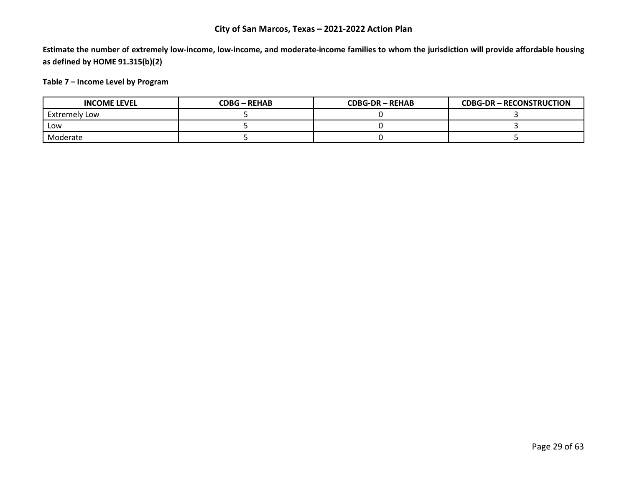**Estimate the number of extremely low-income, low-income, and moderate-income families to whom the jurisdiction will provide affordable housing as defined by HOME 91.315(b)(2)**

## **Table 7 – Income Level by Program**

| <b>INCOME LEVEL</b> | CDBG – REHAB | <b>CDBG-DR-REHAB</b> | <b>CDBG-DR-RECONSTRUCTION</b> |
|---------------------|--------------|----------------------|-------------------------------|
| Extremely Low       |              |                      |                               |
| Low                 |              |                      |                               |
| Moderate            |              |                      |                               |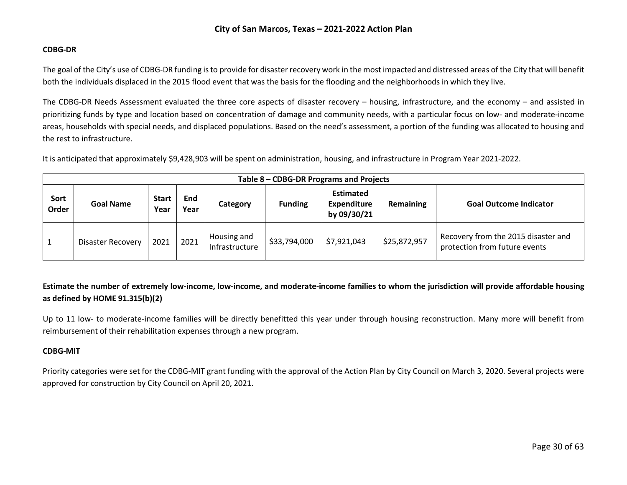#### **CDBG-DR**

The goal of the City's use of CDBG-DR funding is to provide for disaster recovery work in the most impacted and distressed areas of the City that will benefit both the individuals displaced in the 2015 flood event that was the basis for the flooding and the neighborhoods in which they live.

The CDBG-DR Needs Assessment evaluated the three core aspects of disaster recovery – housing, infrastructure, and the economy – and assisted in prioritizing funds by type and location based on concentration of damage and community needs, with a particular focus on low- and moderate-income areas, households with special needs, and displaced populations. Based on the need's assessment, a portion of the funding was allocated to housing and the rest to infrastructure.

It is anticipated that approximately \$9,428,903 will be spent on administration, housing, and infrastructure in Program Year 2021-2022.

|               | Table 8 - CDBG-DR Programs and Projects |                      |             |                               |                |                                                       |              |                                                                      |  |  |  |
|---------------|-----------------------------------------|----------------------|-------------|-------------------------------|----------------|-------------------------------------------------------|--------------|----------------------------------------------------------------------|--|--|--|
| Sort<br>Order | <b>Goal Name</b>                        | <b>Start</b><br>Year | End<br>Year | Category                      | <b>Funding</b> | <b>Estimated</b><br><b>Expenditure</b><br>by 09/30/21 | Remaining    | <b>Goal Outcome Indicator</b>                                        |  |  |  |
|               | Disaster Recovery                       | 2021                 | 2021        | Housing and<br>Infrastructure | \$33,794,000   | \$7,921,043                                           | \$25,872,957 | Recovery from the 2015 disaster and<br>protection from future events |  |  |  |

**Estimate the number of extremely low-income, low-income, and moderate-income families to whom the jurisdiction will provide affordable housing as defined by HOME 91.315(b)(2)**

Up to 11 low- to moderate-income families will be directly benefitted this year under through housing reconstruction. Many more will benefit from reimbursement of their rehabilitation expenses through a new program.

#### **CDBG-MIT**

Priority categories were set for the CDBG-MIT grant funding with the approval of the Action Plan by City Council on March 3, 2020. Several projects were approved for construction by City Council on April 20, 2021.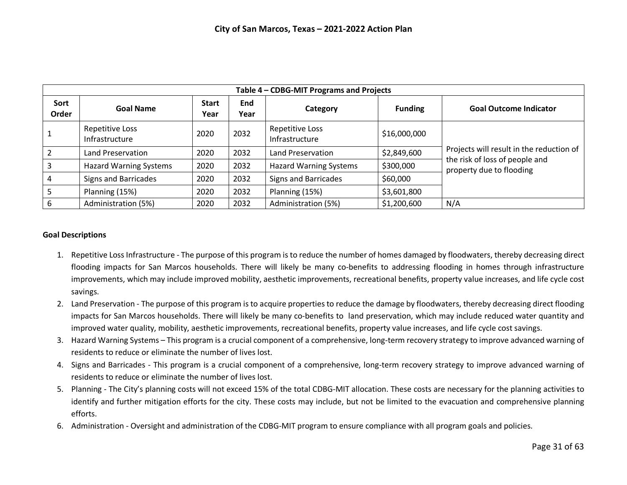|               | Table 4 - CDBG-MIT Programs and Projects |                      |             |                                   |                |                                                                                                        |  |  |  |  |  |  |
|---------------|------------------------------------------|----------------------|-------------|-----------------------------------|----------------|--------------------------------------------------------------------------------------------------------|--|--|--|--|--|--|
| Sort<br>Order | <b>Goal Name</b>                         | <b>Start</b><br>Year | End<br>Year | Category                          | <b>Funding</b> | <b>Goal Outcome Indicator</b>                                                                          |  |  |  |  |  |  |
|               | Repetitive Loss<br>Infrastructure        | 2020                 | 2032        | Repetitive Loss<br>Infrastructure | \$16,000,000   |                                                                                                        |  |  |  |  |  |  |
|               | Land Preservation                        | 2020                 | 2032        | Land Preservation                 | \$2,849,600    | Projects will result in the reduction of<br>the risk of loss of people and<br>property due to flooding |  |  |  |  |  |  |
|               | <b>Hazard Warning Systems</b>            | 2020                 | 2032        | <b>Hazard Warning Systems</b>     | \$300,000      |                                                                                                        |  |  |  |  |  |  |
| 4             | <b>Signs and Barricades</b>              | 2020                 | 2032        | <b>Signs and Barricades</b>       | \$60,000       |                                                                                                        |  |  |  |  |  |  |
|               | Planning (15%)                           | 2020                 | 2032        | Planning (15%)                    | \$3,601,800    |                                                                                                        |  |  |  |  |  |  |
| 6             | Administration (5%)                      | 2020                 | 2032        | Administration (5%)               | \$1,200,600    | N/A                                                                                                    |  |  |  |  |  |  |

#### **Goal Descriptions**

- 1. Repetitive Loss Infrastructure The purpose of this program is to reduce the number of homes damaged by floodwaters, thereby decreasing direct flooding impacts for San Marcos households. There will likely be many co-benefits to addressing flooding in homes through infrastructure improvements, which may include improved mobility, aesthetic improvements, recreational benefits, property value increases, and life cycle cost savings.
- 2. Land Preservation The purpose of this program is to acquire properties to reduce the damage by floodwaters, thereby decreasing direct flooding impacts for San Marcos households. There will likely be many co-benefits to land preservation, which may include reduced water quantity and improved water quality, mobility, aesthetic improvements, recreational benefits, property value increases, and life cycle cost savings.
- 3. Hazard Warning Systems This program is a crucial component of a comprehensive, long-term recovery strategy to improve advanced warning of residents to reduce or eliminate the number of lives lost.
- 4. Signs and Barricades This program is a crucial component of a comprehensive, long-term recovery strategy to improve advanced warning of residents to reduce or eliminate the number of lives lost.
- 5. Planning The City's planning costs will not exceed 15% of the total CDBG-MIT allocation. These costs are necessary for the planning activities to identify and further mitigation efforts for the city. These costs may include, but not be limited to the evacuation and comprehensive planning efforts.
- 6. Administration Oversight and administration of the CDBG-MIT program to ensure compliance with all program goals and policies.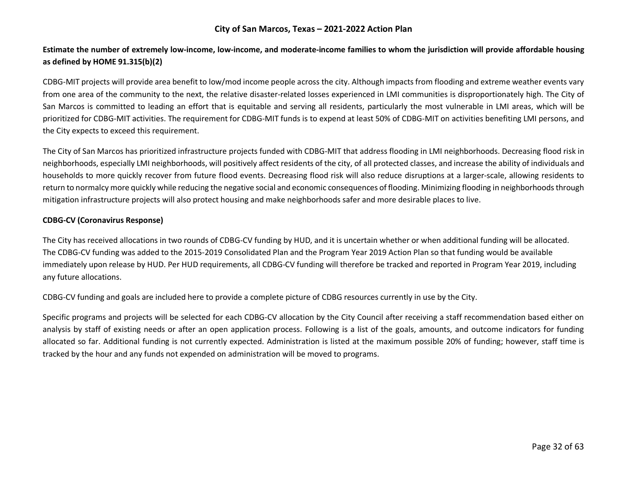# **Estimate the number of extremely low-income, low-income, and moderate-income families to whom the jurisdiction will provide affordable housing as defined by HOME 91.315(b)(2)**

CDBG-MIT projects will provide area benefit to low/mod income people across the city. Although impacts from flooding and extreme weather events vary from one area of the community to the next, the relative disaster-related losses experienced in LMI communities is disproportionately high. The City of San Marcos is committed to leading an effort that is equitable and serving all residents, particularly the most vulnerable in LMI areas, which will be prioritized for CDBG-MIT activities. The requirement for CDBG-MIT funds is to expend at least 50% of CDBG-MIT on activities benefiting LMI persons, and the City expects to exceed this requirement.

The City of San Marcos has prioritized infrastructure projects funded with CDBG-MIT that address flooding in LMI neighborhoods. Decreasing flood risk in neighborhoods, especially LMI neighborhoods, will positively affect residents of the city, of all protected classes, and increase the ability of individuals and households to more quickly recover from future flood events. Decreasing flood risk will also reduce disruptions at a larger-scale, allowing residents to return to normalcy more quickly while reducing the negative social and economic consequences of flooding. Minimizing flooding in neighborhoods through mitigation infrastructure projects will also protect housing and make neighborhoods safer and more desirable places to live.

#### **CDBG-CV (Coronavirus Response)**

The City has received allocations in two rounds of CDBG-CV funding by HUD, and it is uncertain whether or when additional funding will be allocated. The CDBG-CV funding was added to the 2015-2019 Consolidated Plan and the Program Year 2019 Action Plan so that funding would be available immediately upon release by HUD. Per HUD requirements, all CDBG-CV funding will therefore be tracked and reported in Program Year 2019, including any future allocations.

CDBG-CV funding and goals are included here to provide a complete picture of CDBG resources currently in use by the City.

Specific programs and projects will be selected for each CDBG-CV allocation by the City Council after receiving a staff recommendation based either on analysis by staff of existing needs or after an open application process. Following is a list of the goals, amounts, and outcome indicators for funding allocated so far. Additional funding is not currently expected. Administration is listed at the maximum possible 20% of funding; however, staff time is tracked by the hour and any funds not expended on administration will be moved to programs.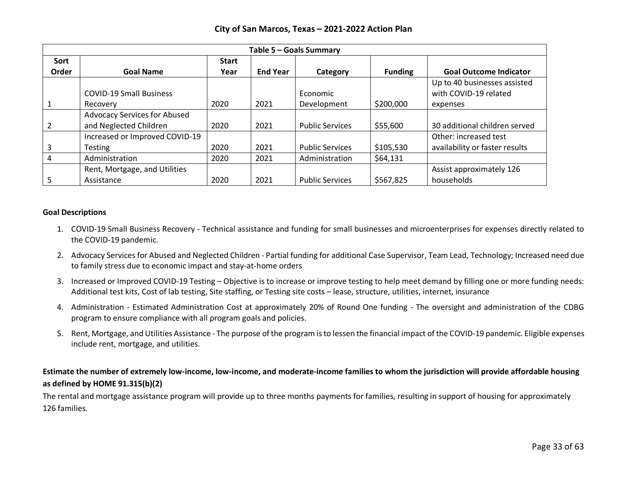|       |                                |              |                 | Table 5 - Goals Summary |                |                                |
|-------|--------------------------------|--------------|-----------------|-------------------------|----------------|--------------------------------|
| Sort  |                                | <b>Start</b> |                 |                         |                |                                |
| Order | <b>Goal Name</b>               | Year         | <b>End Year</b> | Category                | <b>Funding</b> | <b>Goal Outcome Indicator</b>  |
|       |                                |              |                 |                         |                | Up to 40 businesses assisted   |
|       | <b>COVID-19 Small Business</b> |              |                 | Economic                |                | with COVID-19 related          |
|       | Recovery                       | 2020         | 2021            | Development             | \$200,000      | expenses                       |
|       | Advocacy Services for Abused   |              |                 |                         |                |                                |
|       | and Neglected Children         | 2020         | 2021            | <b>Public Services</b>  | \$55,600       | 30 additional children served  |
|       | Increased or Improved COVID-19 |              |                 |                         |                | Other: increased test          |
|       | Testing                        | 2020         | 2021            | <b>Public Services</b>  | \$105,530      | availability or faster results |
|       | Administration                 | 2020         | 2021            | Administration          | \$64,131       |                                |
|       | Rent, Mortgage, and Utilities  |              |                 |                         |                | Assist approximately 126       |
|       | Assistance                     | 2020         | 2021            | <b>Public Services</b>  | \$567,825      | households                     |

#### **Goal Descriptions**

- 1. COVID-19 Small Business Recovery Technical assistance and funding for small businesses and microenterprises for expenses directly related to the COVID-19 pandemic.
- 2. Advocacy Services for Abused and Neglected Children Partial funding for additional Case Supervisor, Team Lead, Technology; Increased need due to family stress due to economic impact and stay-at-home orders
- 3. Increased or Improved COVID-19 Testing Objective is to increase or improve testing to help meet demand by filling one or more funding needs: Additional test kits, Cost of lab testing, Site staffing, or Testing site costs – lease, structure, utilities, internet, insurance
- 4. Administration Estimated Administration Cost at approximately 20% of Round One funding The oversight and administration of the CDBG program to ensure compliance with all program goals and policies.
- 5. Rent, Mortgage, and Utilities Assistance The purpose of the program is to lessen the financial impact of the COVID-19 pandemic. Eligible expenses include rent, mortgage, and utilities.

## **Estimate the number of extremely low-income, low-income, and moderate-income families to whom the jurisdiction will provide affordable housing as defined by HOME 91.315(b)(2)**

The rental and mortgage assistance program will provide up to three months payments for families, resulting in support of housing for approximately 126 families.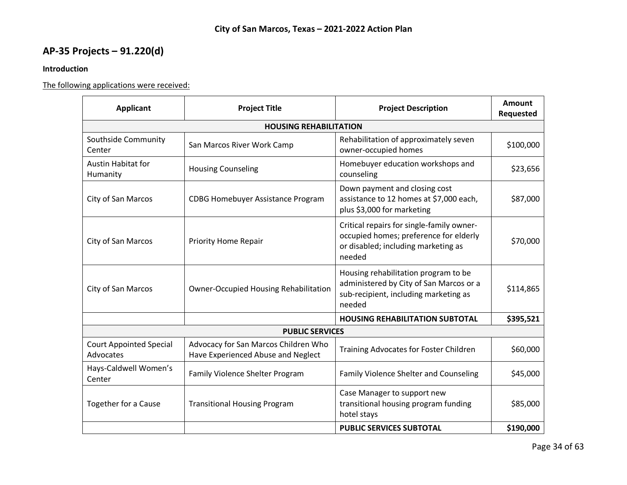# **AP-35 Projects – 91.220(d)**

## **Introduction**

The following applications were received:

| <b>Applicant</b>                                                   | <b>Project Title</b>                                                       | <b>Project Description</b>                                                                                                           | Amount<br>Requested |  |  |  |  |  |
|--------------------------------------------------------------------|----------------------------------------------------------------------------|--------------------------------------------------------------------------------------------------------------------------------------|---------------------|--|--|--|--|--|
| <b>HOUSING REHABILITATION</b>                                      |                                                                            |                                                                                                                                      |                     |  |  |  |  |  |
| Southside Community<br>Center                                      | San Marcos River Work Camp                                                 | Rehabilitation of approximately seven<br>owner-occupied homes                                                                        |                     |  |  |  |  |  |
| <b>Austin Habitat for</b><br>Humanity                              | <b>Housing Counseling</b>                                                  | Homebuyer education workshops and<br>counseling                                                                                      | \$23,656            |  |  |  |  |  |
| City of San Marcos                                                 | <b>CDBG Homebuyer Assistance Program</b>                                   | Down payment and closing cost<br>assistance to 12 homes at \$7,000 each,<br>plus \$3,000 for marketing                               | \$87,000            |  |  |  |  |  |
| City of San Marcos                                                 | <b>Priority Home Repair</b>                                                | Critical repairs for single-family owner-<br>occupied homes; preference for elderly<br>or disabled; including marketing as<br>needed | \$70,000            |  |  |  |  |  |
| City of San Marcos<br><b>Owner-Occupied Housing Rehabilitation</b> |                                                                            | Housing rehabilitation program to be<br>administered by City of San Marcos or a<br>sub-recipient, including marketing as<br>needed   | \$114,865           |  |  |  |  |  |
|                                                                    |                                                                            | <b>HOUSING REHABILITATION SUBTOTAL</b>                                                                                               | \$395,521           |  |  |  |  |  |
|                                                                    | <b>PUBLIC SERVICES</b>                                                     |                                                                                                                                      |                     |  |  |  |  |  |
| <b>Court Appointed Special</b><br>Advocates                        | Advocacy for San Marcos Children Who<br>Have Experienced Abuse and Neglect | <b>Training Advocates for Foster Children</b>                                                                                        | \$60,000            |  |  |  |  |  |
| Hays-Caldwell Women's<br>Center                                    | Family Violence Shelter Program                                            | <b>Family Violence Shelter and Counseling</b>                                                                                        | \$45,000            |  |  |  |  |  |
| <b>Together for a Cause</b>                                        | <b>Transitional Housing Program</b>                                        | Case Manager to support new<br>transitional housing program funding<br>hotel stays                                                   | \$85,000            |  |  |  |  |  |
|                                                                    |                                                                            | <b>PUBLIC SERVICES SUBTOTAL</b>                                                                                                      | \$190,000           |  |  |  |  |  |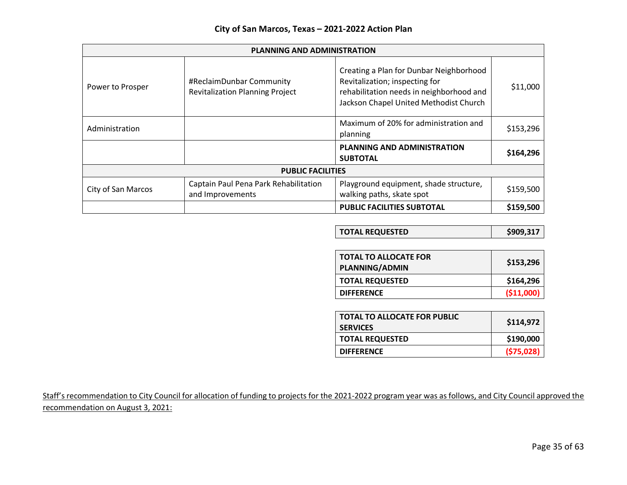| <b>PLANNING AND ADMINISTRATION</b> |                                                                    |                                                                                                                                                                 |           |  |  |  |  |  |  |
|------------------------------------|--------------------------------------------------------------------|-----------------------------------------------------------------------------------------------------------------------------------------------------------------|-----------|--|--|--|--|--|--|
| Power to Prosper                   | #ReclaimDunbar Community<br><b>Revitalization Planning Project</b> | Creating a Plan for Dunbar Neighborhood<br>Revitalization; inspecting for<br>rehabilitation needs in neighborhood and<br>Jackson Chapel United Methodist Church | \$11,000  |  |  |  |  |  |  |
| Administration                     |                                                                    | Maximum of 20% for administration and<br>planning                                                                                                               | \$153,296 |  |  |  |  |  |  |
|                                    |                                                                    | <b>PLANNING AND ADMINISTRATION</b><br><b>SUBTOTAL</b>                                                                                                           | \$164,296 |  |  |  |  |  |  |
|                                    | <b>PUBLIC FACILITIES</b>                                           |                                                                                                                                                                 |           |  |  |  |  |  |  |
| City of San Marcos                 | Captain Paul Pena Park Rehabilitation<br>and Improvements          | Playground equipment, shade structure,<br>walking paths, skate spot                                                                                             | \$159,500 |  |  |  |  |  |  |
|                                    |                                                                    | <b>PUBLIC FACILITIES SUBTOTAL</b>                                                                                                                               | \$159,500 |  |  |  |  |  |  |

| \$909,317<br><b>TOTAL REQUESTED</b> |  |
|-------------------------------------|--|
|-------------------------------------|--|

| <b>TOTAL TO ALLOCATE FOR</b><br><b>PLANNING/ADMIN</b> | \$153,296   |
|-------------------------------------------------------|-------------|
| <b>TOTAL REQUESTED</b>                                | \$164,296   |
| <b>DIFFERENCE</b>                                     | ( \$11,000) |

| <b>TOTAL TO ALLOCATE FOR PUBLIC</b><br><b>SERVICES</b> | \$114,972 |
|--------------------------------------------------------|-----------|
| <b>TOTAL REQUESTED</b>                                 | \$190,000 |
| <b>DIFFERENCE</b>                                      | (575,028) |

Staff's recommendation to City Council for allocation of funding to projects for the 2021-2022 program year was as follows, and City Council approved the recommendation on August 3, 2021: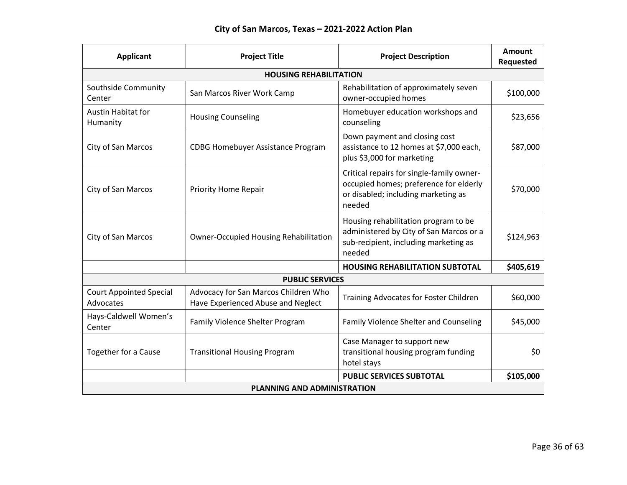| <b>Applicant</b>                            | <b>Project Title</b>                                                       | <b>Project Description</b>                                                                                                           | <b>Amount</b><br>Requested |
|---------------------------------------------|----------------------------------------------------------------------------|--------------------------------------------------------------------------------------------------------------------------------------|----------------------------|
|                                             | <b>HOUSING REHABILITATION</b>                                              |                                                                                                                                      |                            |
| Southside Community<br>Center               | San Marcos River Work Camp                                                 | Rehabilitation of approximately seven<br>owner-occupied homes                                                                        | \$100,000                  |
| <b>Austin Habitat for</b><br>Humanity       | <b>Housing Counseling</b>                                                  | Homebuyer education workshops and<br>counseling                                                                                      | \$23,656                   |
| City of San Marcos                          | <b>CDBG Homebuyer Assistance Program</b>                                   | Down payment and closing cost<br>assistance to 12 homes at \$7,000 each,<br>plus \$3,000 for marketing                               | \$87,000                   |
| City of San Marcos                          | <b>Priority Home Repair</b>                                                | Critical repairs for single-family owner-<br>occupied homes; preference for elderly<br>or disabled; including marketing as<br>needed | \$70,000                   |
| <b>City of San Marcos</b>                   | <b>Owner-Occupied Housing Rehabilitation</b>                               | Housing rehabilitation program to be<br>administered by City of San Marcos or a<br>sub-recipient, including marketing as<br>needed   | \$124,963                  |
|                                             |                                                                            | <b>HOUSING REHABILITATION SUBTOTAL</b>                                                                                               | \$405,619                  |
| <b>PUBLIC SERVICES</b>                      |                                                                            |                                                                                                                                      |                            |
| <b>Court Appointed Special</b><br>Advocates | Advocacy for San Marcos Children Who<br>Have Experienced Abuse and Neglect | Training Advocates for Foster Children                                                                                               | \$60,000                   |
| Hays-Caldwell Women's<br>Center             | Family Violence Shelter Program                                            | Family Violence Shelter and Counseling                                                                                               | \$45,000                   |
| Together for a Cause                        | <b>Transitional Housing Program</b>                                        | Case Manager to support new<br>transitional housing program funding<br>hotel stays                                                   | \$0                        |
|                                             |                                                                            | <b>PUBLIC SERVICES SUBTOTAL</b>                                                                                                      | \$105,000                  |
| <b>PLANNING AND ADMINISTRATION</b>          |                                                                            |                                                                                                                                      |                            |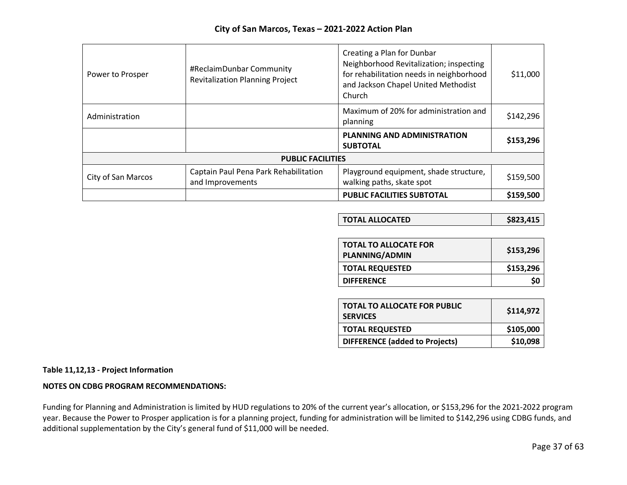| Power to Prosper         | #ReclaimDunbar Community<br><b>Revitalization Planning Project</b> | Creating a Plan for Dunbar<br>Neighborhood Revitalization; inspecting<br>for rehabilitation needs in neighborhood<br>and Jackson Chapel United Methodist<br>Church | \$11,000  |
|--------------------------|--------------------------------------------------------------------|--------------------------------------------------------------------------------------------------------------------------------------------------------------------|-----------|
| Administration           |                                                                    | Maximum of 20% for administration and<br>planning                                                                                                                  | \$142,296 |
|                          |                                                                    | <b>PLANNING AND ADMINISTRATION</b><br><b>SUBTOTAL</b>                                                                                                              | \$153,296 |
| <b>PUBLIC FACILITIES</b> |                                                                    |                                                                                                                                                                    |           |
| City of San Marcos       | Captain Paul Pena Park Rehabilitation<br>and Improvements          | Playground equipment, shade structure,<br>walking paths, skate spot                                                                                                | \$159,500 |
|                          |                                                                    | <b>PUBLIC FACILITIES SUBTOTAL</b>                                                                                                                                  | \$159,500 |

| <b>TOTAL ALLOCATED</b> | \$823,415 |
|------------------------|-----------|
|------------------------|-----------|

| <b>TOTAL TO ALLOCATE FOR</b><br><b>PLANNING/ADMIN</b> | \$153,296 |
|-------------------------------------------------------|-----------|
| <b>TOTAL REQUESTED</b>                                | \$153,296 |
| <b>DIFFERENCE</b>                                     | S0        |

| <b>TOTAL TO ALLOCATE FOR PUBLIC</b><br><b>SERVICES</b> | \$114,972 |  |
|--------------------------------------------------------|-----------|--|
| <b>TOTAL REQUESTED</b>                                 | \$105,000 |  |
| <b>DIFFERENCE</b> (added to Projects)                  | \$10,098  |  |

### **Table 11,12,13 - Project Information**

#### **NOTES ON CDBG PROGRAM RECOMMENDATIONS:**

Funding for Planning and Administration is limited by HUD regulations to 20% of the current year's allocation, or \$153,296 for the 2021-2022 program year. Because the Power to Prosper application is for a planning project, funding for administration will be limited to \$142,296 using CDBG funds, and additional supplementation by the City's general fund of \$11,000 will be needed.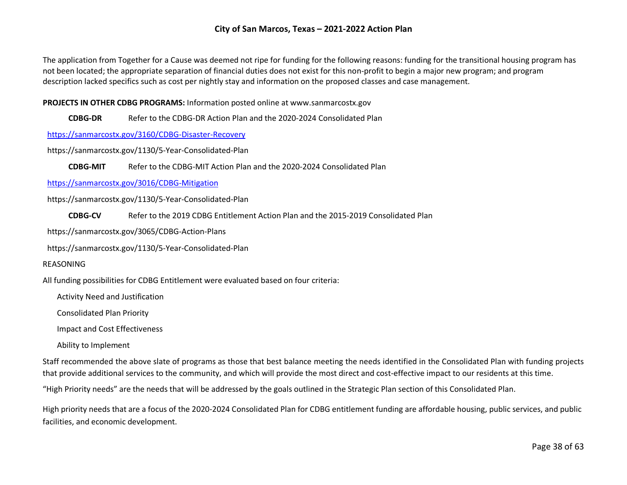The application from Together for a Cause was deemed not ripe for funding for the following reasons: funding for the transitional housing program has not been located; the appropriate separation of financial duties does not exist for this non-profit to begin a major new program; and program description lacked specifics such as cost per nightly stay and information on the proposed classes and case management.

#### **PROJECTS IN OTHER CDBG PROGRAMS:** Information posted online at www.sanmarcostx.gov

**CDBG-DR** Refer to the CDBG-DR Action Plan and the 2020-2024 Consolidated Plan

<https://sanmarcostx.gov/3160/CDBG-Disaster-Recovery>

https://sanmarcostx.gov/1130/5-Year-Consolidated-Plan

**CDBG-MIT** Refer to the CDBG-MIT Action Plan and the 2020-2024 Consolidated Plan

<https://sanmarcostx.gov/3016/CDBG-Mitigation>

https://sanmarcostx.gov/1130/5-Year-Consolidated-Plan

**CDBG-CV** Refer to the 2019 CDBG Entitlement Action Plan and the 2015-2019 Consolidated Plan

https://sanmarcostx.gov/3065/CDBG-Action-Plans

https://sanmarcostx.gov/1130/5-Year-Consolidated-Plan

#### REASONING

All funding possibilities for CDBG Entitlement were evaluated based on four criteria:

Activity Need and Justification

Consolidated Plan Priority

Impact and Cost Effectiveness

Ability to Implement

Staff recommended the above slate of programs as those that best balance meeting the needs identified in the Consolidated Plan with funding projects that provide additional services to the community, and which will provide the most direct and cost-effective impact to our residents at this time.

"High Priority needs" are the needs that will be addressed by the goals outlined in the Strategic Plan section of this Consolidated Plan.

High priority needs that are a focus of the 2020-2024 Consolidated Plan for CDBG entitlement funding are affordable housing, public services, and public facilities, and economic development.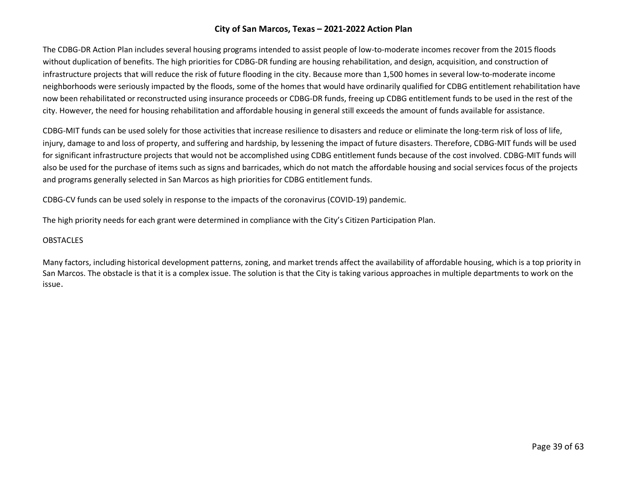The CDBG-DR Action Plan includes several housing programs intended to assist people of low-to-moderate incomes recover from the 2015 floods without duplication of benefits. The high priorities for CDBG-DR funding are housing rehabilitation, and design, acquisition, and construction of infrastructure projects that will reduce the risk of future flooding in the city. Because more than 1,500 homes in several low-to-moderate income neighborhoods were seriously impacted by the floods, some of the homes that would have ordinarily qualified for CDBG entitlement rehabilitation have now been rehabilitated or reconstructed using insurance proceeds or CDBG-DR funds, freeing up CDBG entitlement funds to be used in the rest of the city. However, the need for housing rehabilitation and affordable housing in general still exceeds the amount of funds available for assistance.

CDBG-MIT funds can be used solely for those activities that increase resilience to disasters and reduce or eliminate the long-term risk of loss of life, injury, damage to and loss of property, and suffering and hardship, by lessening the impact of future disasters. Therefore, CDBG-MIT funds will be used for significant infrastructure projects that would not be accomplished using CDBG entitlement funds because of the cost involved. CDBG-MIT funds will also be used for the purchase of items such as signs and barricades, which do not match the affordable housing and social services focus of the projects and programs generally selected in San Marcos as high priorities for CDBG entitlement funds.

CDBG-CV funds can be used solely in response to the impacts of the coronavirus (COVID-19) pandemic.

The high priority needs for each grant were determined in compliance with the City's Citizen Participation Plan.

#### **OBSTACLES**

Many factors, including historical development patterns, zoning, and market trends affect the availability of affordable housing, which is a top priority in San Marcos. The obstacle is that it is a complex issue. The solution is that the City is taking various approaches in multiple departments to work on the issue.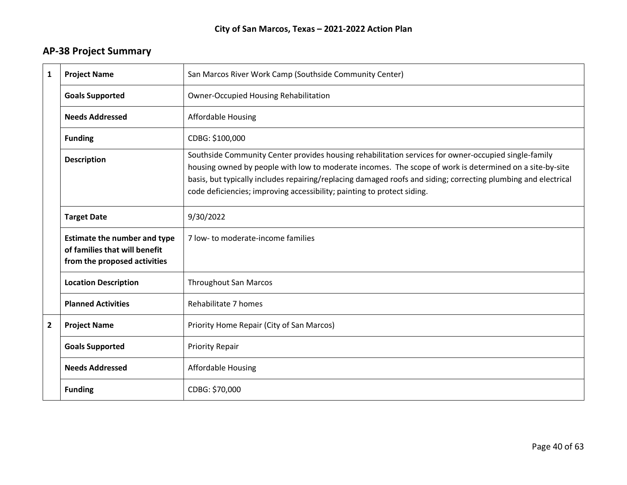# **AP-38 Project Summary**

| 1            | <b>Project Name</b>                                                                                  | San Marcos River Work Camp (Southside Community Center)                                                                                                                                                                                                                                                                                                                                                      |
|--------------|------------------------------------------------------------------------------------------------------|--------------------------------------------------------------------------------------------------------------------------------------------------------------------------------------------------------------------------------------------------------------------------------------------------------------------------------------------------------------------------------------------------------------|
|              | <b>Goals Supported</b>                                                                               | <b>Owner-Occupied Housing Rehabilitation</b>                                                                                                                                                                                                                                                                                                                                                                 |
|              | <b>Needs Addressed</b>                                                                               | <b>Affordable Housing</b>                                                                                                                                                                                                                                                                                                                                                                                    |
|              | <b>Funding</b>                                                                                       | CDBG: \$100,000                                                                                                                                                                                                                                                                                                                                                                                              |
|              | <b>Description</b>                                                                                   | Southside Community Center provides housing rehabilitation services for owner-occupied single-family<br>housing owned by people with low to moderate incomes. The scope of work is determined on a site-by-site<br>basis, but typically includes repairing/replacing damaged roofs and siding; correcting plumbing and electrical<br>code deficiencies; improving accessibility; painting to protect siding. |
|              | <b>Target Date</b>                                                                                   | 9/30/2022                                                                                                                                                                                                                                                                                                                                                                                                    |
|              | <b>Estimate the number and type</b><br>of families that will benefit<br>from the proposed activities | 7 low- to moderate-income families                                                                                                                                                                                                                                                                                                                                                                           |
|              | <b>Location Description</b>                                                                          | <b>Throughout San Marcos</b>                                                                                                                                                                                                                                                                                                                                                                                 |
|              | <b>Planned Activities</b>                                                                            | Rehabilitate 7 homes                                                                                                                                                                                                                                                                                                                                                                                         |
| $\mathbf{2}$ | <b>Project Name</b>                                                                                  | Priority Home Repair (City of San Marcos)                                                                                                                                                                                                                                                                                                                                                                    |
|              | <b>Goals Supported</b>                                                                               | <b>Priority Repair</b>                                                                                                                                                                                                                                                                                                                                                                                       |
|              | <b>Needs Addressed</b>                                                                               | <b>Affordable Housing</b>                                                                                                                                                                                                                                                                                                                                                                                    |
|              | <b>Funding</b>                                                                                       | CDBG: \$70,000                                                                                                                                                                                                                                                                                                                                                                                               |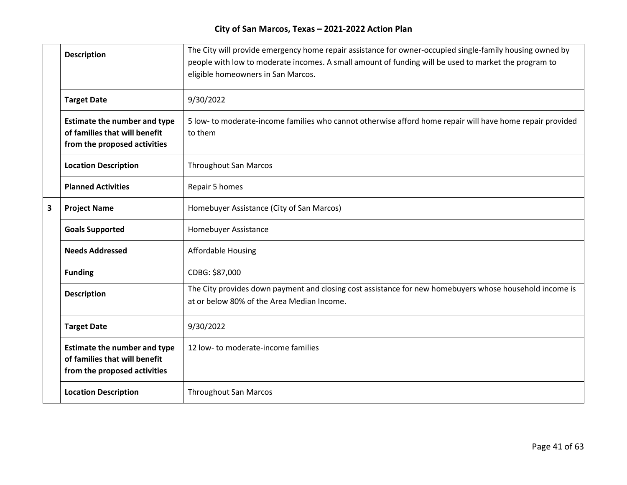|   | <b>Description</b>                                                                                   | The City will provide emergency home repair assistance for owner-occupied single-family housing owned by<br>people with low to moderate incomes. A small amount of funding will be used to market the program to<br>eligible homeowners in San Marcos. |
|---|------------------------------------------------------------------------------------------------------|--------------------------------------------------------------------------------------------------------------------------------------------------------------------------------------------------------------------------------------------------------|
|   | <b>Target Date</b>                                                                                   | 9/30/2022                                                                                                                                                                                                                                              |
|   | <b>Estimate the number and type</b><br>of families that will benefit<br>from the proposed activities | 5 low- to moderate-income families who cannot otherwise afford home repair will have home repair provided<br>to them                                                                                                                                   |
|   | <b>Location Description</b>                                                                          | <b>Throughout San Marcos</b>                                                                                                                                                                                                                           |
|   | <b>Planned Activities</b>                                                                            | Repair 5 homes                                                                                                                                                                                                                                         |
| 3 | <b>Project Name</b>                                                                                  | Homebuyer Assistance (City of San Marcos)                                                                                                                                                                                                              |
|   | <b>Goals Supported</b>                                                                               | Homebuyer Assistance                                                                                                                                                                                                                                   |
|   | <b>Needs Addressed</b>                                                                               | <b>Affordable Housing</b>                                                                                                                                                                                                                              |
|   | <b>Funding</b>                                                                                       | CDBG: \$87,000                                                                                                                                                                                                                                         |
|   | <b>Description</b>                                                                                   | The City provides down payment and closing cost assistance for new homebuyers whose household income is<br>at or below 80% of the Area Median Income.                                                                                                  |
|   | <b>Target Date</b>                                                                                   | 9/30/2022                                                                                                                                                                                                                                              |
|   | <b>Estimate the number and type</b><br>of families that will benefit<br>from the proposed activities | 12 low- to moderate-income families                                                                                                                                                                                                                    |
|   | <b>Location Description</b>                                                                          | <b>Throughout San Marcos</b>                                                                                                                                                                                                                           |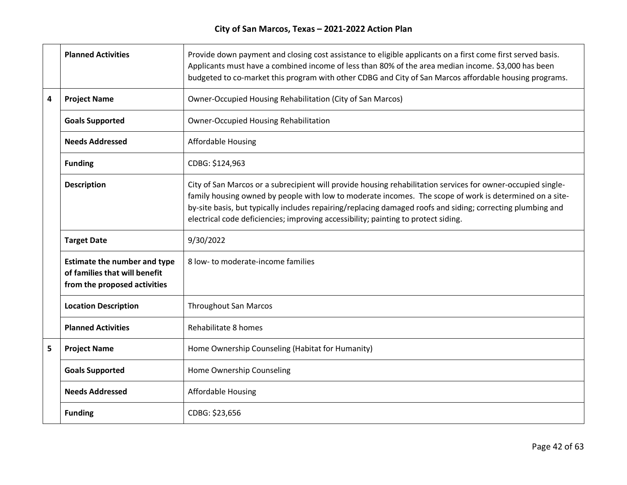|   | <b>Planned Activities</b>                                                                            | Provide down payment and closing cost assistance to eligible applicants on a first come first served basis.<br>Applicants must have a combined income of less than 80% of the area median income. \$3,000 has been<br>budgeted to co-market this program with other CDBG and City of San Marcos affordable housing programs.                                                                                                 |
|---|------------------------------------------------------------------------------------------------------|------------------------------------------------------------------------------------------------------------------------------------------------------------------------------------------------------------------------------------------------------------------------------------------------------------------------------------------------------------------------------------------------------------------------------|
| 4 | <b>Project Name</b>                                                                                  | Owner-Occupied Housing Rehabilitation (City of San Marcos)                                                                                                                                                                                                                                                                                                                                                                   |
|   | <b>Goals Supported</b>                                                                               | <b>Owner-Occupied Housing Rehabilitation</b>                                                                                                                                                                                                                                                                                                                                                                                 |
|   | <b>Needs Addressed</b>                                                                               | <b>Affordable Housing</b>                                                                                                                                                                                                                                                                                                                                                                                                    |
|   | <b>Funding</b>                                                                                       | CDBG: \$124,963                                                                                                                                                                                                                                                                                                                                                                                                              |
|   | <b>Description</b>                                                                                   | City of San Marcos or a subrecipient will provide housing rehabilitation services for owner-occupied single-<br>family housing owned by people with low to moderate incomes. The scope of work is determined on a site-<br>by-site basis, but typically includes repairing/replacing damaged roofs and siding; correcting plumbing and<br>electrical code deficiencies; improving accessibility; painting to protect siding. |
|   | <b>Target Date</b>                                                                                   | 9/30/2022                                                                                                                                                                                                                                                                                                                                                                                                                    |
|   | <b>Estimate the number and type</b><br>of families that will benefit<br>from the proposed activities | 8 low- to moderate-income families                                                                                                                                                                                                                                                                                                                                                                                           |
|   | <b>Location Description</b>                                                                          | <b>Throughout San Marcos</b>                                                                                                                                                                                                                                                                                                                                                                                                 |
|   | <b>Planned Activities</b>                                                                            | Rehabilitate 8 homes                                                                                                                                                                                                                                                                                                                                                                                                         |
| 5 | <b>Project Name</b>                                                                                  | Home Ownership Counseling (Habitat for Humanity)                                                                                                                                                                                                                                                                                                                                                                             |
|   | <b>Goals Supported</b>                                                                               | Home Ownership Counseling                                                                                                                                                                                                                                                                                                                                                                                                    |
|   | <b>Needs Addressed</b>                                                                               | <b>Affordable Housing</b>                                                                                                                                                                                                                                                                                                                                                                                                    |
|   | <b>Funding</b>                                                                                       | CDBG: \$23,656                                                                                                                                                                                                                                                                                                                                                                                                               |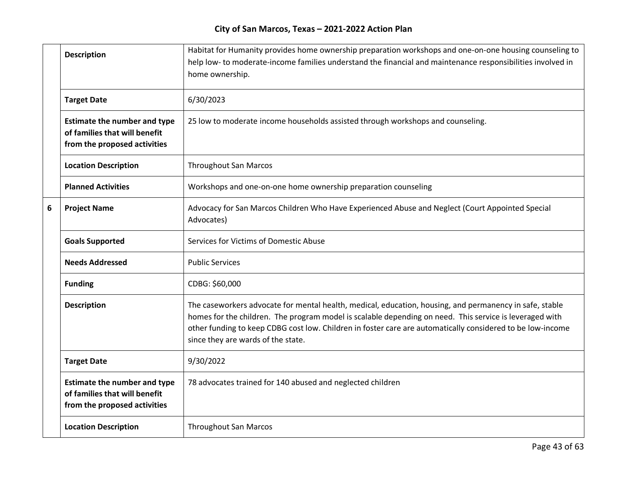|   | <b>Description</b>                                                                                   | Habitat for Humanity provides home ownership preparation workshops and one-on-one housing counseling to<br>help low- to moderate-income families understand the financial and maintenance responsibilities involved in<br>home ownership.                                                                                                                              |
|---|------------------------------------------------------------------------------------------------------|------------------------------------------------------------------------------------------------------------------------------------------------------------------------------------------------------------------------------------------------------------------------------------------------------------------------------------------------------------------------|
|   | <b>Target Date</b>                                                                                   | 6/30/2023                                                                                                                                                                                                                                                                                                                                                              |
|   | <b>Estimate the number and type</b><br>of families that will benefit<br>from the proposed activities | 25 low to moderate income households assisted through workshops and counseling.                                                                                                                                                                                                                                                                                        |
|   | <b>Location Description</b>                                                                          | <b>Throughout San Marcos</b>                                                                                                                                                                                                                                                                                                                                           |
|   | <b>Planned Activities</b>                                                                            | Workshops and one-on-one home ownership preparation counseling                                                                                                                                                                                                                                                                                                         |
| 6 | <b>Project Name</b>                                                                                  | Advocacy for San Marcos Children Who Have Experienced Abuse and Neglect (Court Appointed Special<br>Advocates)                                                                                                                                                                                                                                                         |
|   | <b>Goals Supported</b>                                                                               | Services for Victims of Domestic Abuse                                                                                                                                                                                                                                                                                                                                 |
|   | <b>Needs Addressed</b>                                                                               | <b>Public Services</b>                                                                                                                                                                                                                                                                                                                                                 |
|   | <b>Funding</b>                                                                                       | CDBG: \$60,000                                                                                                                                                                                                                                                                                                                                                         |
|   | <b>Description</b>                                                                                   | The caseworkers advocate for mental health, medical, education, housing, and permanency in safe, stable<br>homes for the children. The program model is scalable depending on need. This service is leveraged with<br>other funding to keep CDBG cost low. Children in foster care are automatically considered to be low-income<br>since they are wards of the state. |
|   | <b>Target Date</b>                                                                                   | 9/30/2022                                                                                                                                                                                                                                                                                                                                                              |
|   | <b>Estimate the number and type</b><br>of families that will benefit<br>from the proposed activities | 78 advocates trained for 140 abused and neglected children                                                                                                                                                                                                                                                                                                             |
|   | <b>Location Description</b>                                                                          | <b>Throughout San Marcos</b>                                                                                                                                                                                                                                                                                                                                           |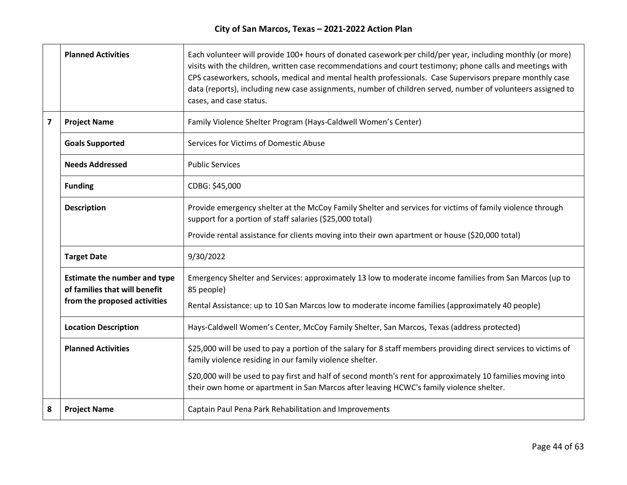|                         | <b>Planned Activities</b>                                            | Each volunteer will provide 100+ hours of donated casework per child/per year, including monthly (or more)<br>visits with the children, written case recommendations and court testimony; phone calls and meetings with<br>CPS caseworkers, schools, medical and mental health professionals. Case Supervisors prepare monthly case<br>data (reports), including new case assignments, number of children served, number of volunteers assigned to<br>cases, and case status. |
|-------------------------|----------------------------------------------------------------------|-------------------------------------------------------------------------------------------------------------------------------------------------------------------------------------------------------------------------------------------------------------------------------------------------------------------------------------------------------------------------------------------------------------------------------------------------------------------------------|
| $\overline{\mathbf{z}}$ | <b>Project Name</b>                                                  | Family Violence Shelter Program (Hays-Caldwell Women's Center)                                                                                                                                                                                                                                                                                                                                                                                                                |
|                         | <b>Goals Supported</b>                                               | Services for Victims of Domestic Abuse                                                                                                                                                                                                                                                                                                                                                                                                                                        |
|                         | <b>Needs Addressed</b>                                               | <b>Public Services</b>                                                                                                                                                                                                                                                                                                                                                                                                                                                        |
|                         | <b>Funding</b>                                                       | CDBG: \$45,000                                                                                                                                                                                                                                                                                                                                                                                                                                                                |
|                         | <b>Description</b>                                                   | Provide emergency shelter at the McCoy Family Shelter and services for victims of family violence through<br>support for a portion of staff salaries (\$25,000 total)                                                                                                                                                                                                                                                                                                         |
|                         |                                                                      | Provide rental assistance for clients moving into their own apartment or house (\$20,000 total)                                                                                                                                                                                                                                                                                                                                                                               |
|                         | <b>Target Date</b>                                                   | 9/30/2022                                                                                                                                                                                                                                                                                                                                                                                                                                                                     |
|                         | <b>Estimate the number and type</b><br>of families that will benefit | Emergency Shelter and Services: approximately 13 low to moderate income families from San Marcos (up to<br>85 people)                                                                                                                                                                                                                                                                                                                                                         |
|                         | from the proposed activities                                         | Rental Assistance: up to 10 San Marcos low to moderate income families (approximately 40 people)                                                                                                                                                                                                                                                                                                                                                                              |
|                         | <b>Location Description</b>                                          | Hays-Caldwell Women's Center, McCoy Family Shelter, San Marcos, Texas (address protected)                                                                                                                                                                                                                                                                                                                                                                                     |
|                         | <b>Planned Activities</b>                                            | \$25,000 will be used to pay a portion of the salary for 8 staff members providing direct services to victims of<br>family violence residing in our family violence shelter.                                                                                                                                                                                                                                                                                                  |
|                         |                                                                      | \$20,000 will be used to pay first and half of second month's rent for approximately 10 families moving into<br>their own home or apartment in San Marcos after leaving HCWC's family violence shelter.                                                                                                                                                                                                                                                                       |
| 8                       | <b>Project Name</b>                                                  | Captain Paul Pena Park Rehabilitation and Improvements                                                                                                                                                                                                                                                                                                                                                                                                                        |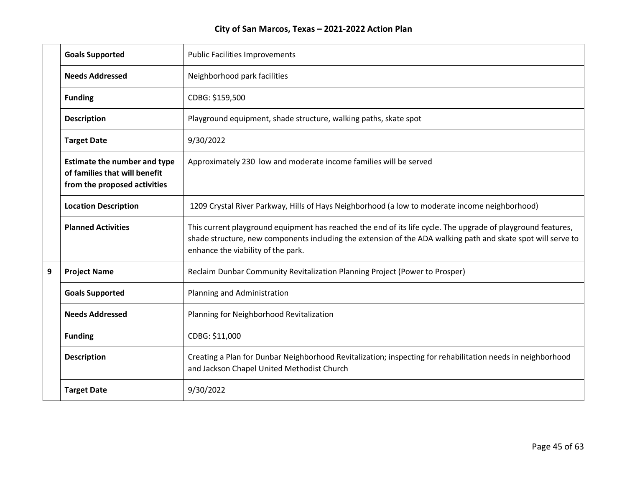|   | <b>Goals Supported</b>                                                                               | <b>Public Facilities Improvements</b>                                                                                                                                                                                                                              |
|---|------------------------------------------------------------------------------------------------------|--------------------------------------------------------------------------------------------------------------------------------------------------------------------------------------------------------------------------------------------------------------------|
|   | <b>Needs Addressed</b>                                                                               | Neighborhood park facilities                                                                                                                                                                                                                                       |
|   | <b>Funding</b>                                                                                       | CDBG: \$159,500                                                                                                                                                                                                                                                    |
|   | <b>Description</b>                                                                                   | Playground equipment, shade structure, walking paths, skate spot                                                                                                                                                                                                   |
|   | <b>Target Date</b>                                                                                   | 9/30/2022                                                                                                                                                                                                                                                          |
|   | <b>Estimate the number and type</b><br>of families that will benefit<br>from the proposed activities | Approximately 230 low and moderate income families will be served                                                                                                                                                                                                  |
|   | <b>Location Description</b>                                                                          | 1209 Crystal River Parkway, Hills of Hays Neighborhood (a low to moderate income neighborhood)                                                                                                                                                                     |
|   | <b>Planned Activities</b>                                                                            | This current playground equipment has reached the end of its life cycle. The upgrade of playground features,<br>shade structure, new components including the extension of the ADA walking path and skate spot will serve to<br>enhance the viability of the park. |
| 9 | <b>Project Name</b>                                                                                  | Reclaim Dunbar Community Revitalization Planning Project (Power to Prosper)                                                                                                                                                                                        |
|   | <b>Goals Supported</b>                                                                               | Planning and Administration                                                                                                                                                                                                                                        |
|   | <b>Needs Addressed</b>                                                                               | Planning for Neighborhood Revitalization                                                                                                                                                                                                                           |
|   | <b>Funding</b>                                                                                       | CDBG: \$11,000                                                                                                                                                                                                                                                     |
|   | <b>Description</b>                                                                                   | Creating a Plan for Dunbar Neighborhood Revitalization; inspecting for rehabilitation needs in neighborhood<br>and Jackson Chapel United Methodist Church                                                                                                          |
|   | <b>Target Date</b>                                                                                   | 9/30/2022                                                                                                                                                                                                                                                          |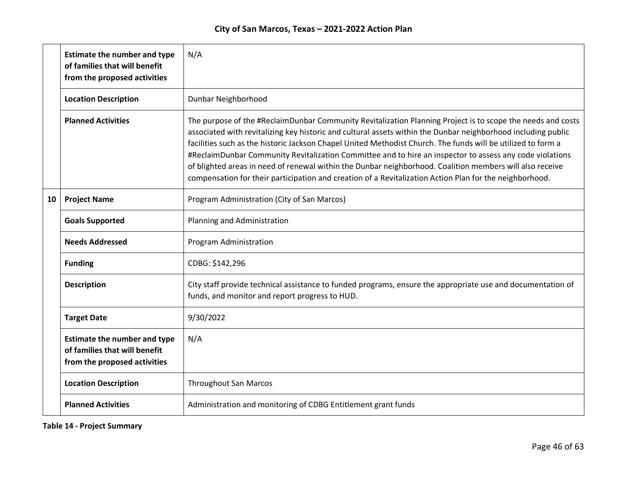|    | <b>Estimate the number and type</b><br>of families that will benefit<br>from the proposed activities | N/A                                                                                                                                                                                                                                                                                                                                                                                                                                                                                                                                                                                                                                                                             |
|----|------------------------------------------------------------------------------------------------------|---------------------------------------------------------------------------------------------------------------------------------------------------------------------------------------------------------------------------------------------------------------------------------------------------------------------------------------------------------------------------------------------------------------------------------------------------------------------------------------------------------------------------------------------------------------------------------------------------------------------------------------------------------------------------------|
|    | <b>Location Description</b>                                                                          | Dunbar Neighborhood                                                                                                                                                                                                                                                                                                                                                                                                                                                                                                                                                                                                                                                             |
|    | <b>Planned Activities</b>                                                                            | The purpose of the #ReclaimDunbar Community Revitalization Planning Project is to scope the needs and costs<br>associated with revitalizing key historic and cultural assets within the Dunbar neighborhood including public<br>facilities such as the historic Jackson Chapel United Methodist Church. The funds will be utilized to form a<br>#ReclaimDunbar Community Revitalization Committee and to hire an inspector to assess any code violations<br>of blighted areas in need of renewal within the Dunbar neighborhood. Coalition members will also receive<br>compensation for their participation and creation of a Revitalization Action Plan for the neighborhood. |
| 10 | <b>Project Name</b>                                                                                  | Program Administration (City of San Marcos)                                                                                                                                                                                                                                                                                                                                                                                                                                                                                                                                                                                                                                     |
|    | <b>Goals Supported</b>                                                                               | Planning and Administration                                                                                                                                                                                                                                                                                                                                                                                                                                                                                                                                                                                                                                                     |
|    | <b>Needs Addressed</b>                                                                               | Program Administration                                                                                                                                                                                                                                                                                                                                                                                                                                                                                                                                                                                                                                                          |
|    | <b>Funding</b>                                                                                       | CDBG: \$142,296                                                                                                                                                                                                                                                                                                                                                                                                                                                                                                                                                                                                                                                                 |
|    | <b>Description</b>                                                                                   | City staff provide technical assistance to funded programs, ensure the appropriate use and documentation of<br>funds, and monitor and report progress to HUD.                                                                                                                                                                                                                                                                                                                                                                                                                                                                                                                   |
|    | <b>Target Date</b>                                                                                   | 9/30/2022                                                                                                                                                                                                                                                                                                                                                                                                                                                                                                                                                                                                                                                                       |
|    | <b>Estimate the number and type</b><br>of families that will benefit<br>from the proposed activities | N/A                                                                                                                                                                                                                                                                                                                                                                                                                                                                                                                                                                                                                                                                             |
|    | <b>Location Description</b>                                                                          | <b>Throughout San Marcos</b>                                                                                                                                                                                                                                                                                                                                                                                                                                                                                                                                                                                                                                                    |
|    | <b>Planned Activities</b>                                                                            | Administration and monitoring of CDBG Entitlement grant funds                                                                                                                                                                                                                                                                                                                                                                                                                                                                                                                                                                                                                   |

**Table 14 - Project Summary**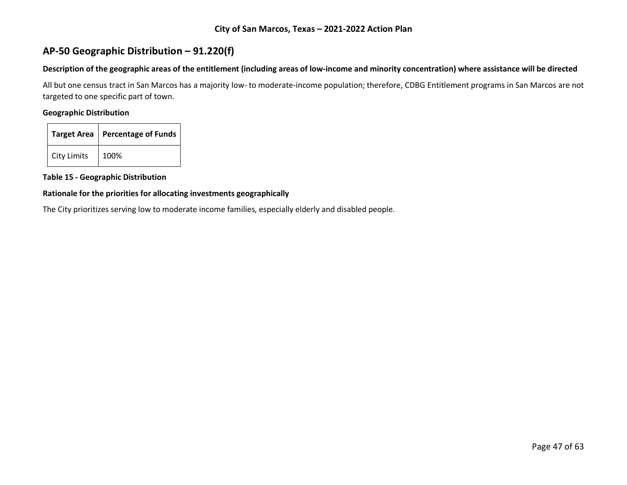# **AP-50 Geographic Distribution – 91.220(f)**

#### **Description of the geographic areas of the entitlement (including areas of low-income and minority concentration) where assistance will be directed**

All but one census tract in San Marcos has a majority low- to moderate-income population; therefore, CDBG Entitlement programs in San Marcos are not targeted to one specific part of town.

## **Geographic Distribution**

|                    | Target Area   Percentage of Funds |
|--------------------|-----------------------------------|
| <b>City Limits</b> | 100%                              |

**Table 15 - Geographic Distribution** 

#### **Rationale for the priorities for allocating investments geographically**

The City prioritizes serving low to moderate income families, especially elderly and disabled people.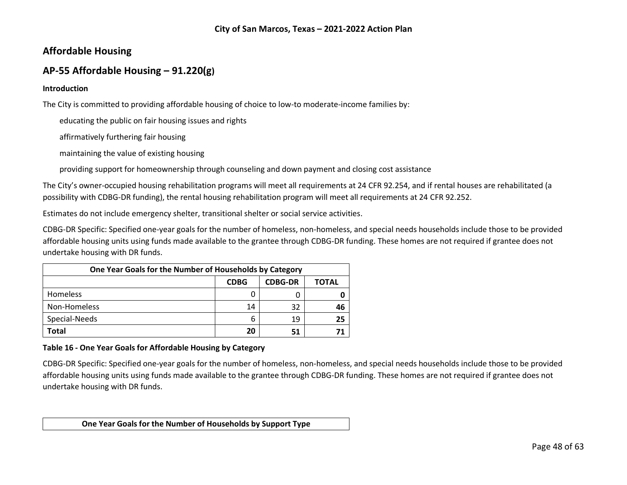# **Affordable Housing**

# **AP-55 Affordable Housing – 91.220(g)**

#### **Introduction**

The City is committed to providing affordable housing of choice to low-to moderate-income families by:

educating the public on fair housing issues and rights

affirmatively furthering fair housing

maintaining the value of existing housing

providing support for homeownership through counseling and down payment and closing cost assistance

The City's owner-occupied housing rehabilitation programs will meet all requirements at 24 CFR 92.254, and if rental houses are rehabilitated (a possibility with CDBG-DR funding), the rental housing rehabilitation program will meet all requirements at 24 CFR 92.252.

Estimates do not include emergency shelter, transitional shelter or social service activities.

CDBG-DR Specific: Specified one-year goals for the number of homeless, non-homeless, and special needs households include those to be provided affordable housing units using funds made available to the grantee through CDBG-DR funding. These homes are not required if grantee does not undertake housing with DR funds.

| One Year Goals for the Number of Households by Category |             |                |       |
|---------------------------------------------------------|-------------|----------------|-------|
|                                                         | <b>CDBG</b> | <b>CDBG-DR</b> | TOTAL |
| Homeless                                                |             |                |       |
| Non-Homeless                                            | 14          | 32             | 46    |
| Special-Needs                                           | 6           | 19             | 25    |
| Total                                                   | 20          | 51             |       |

#### **Table 16 - One Year Goals for Affordable Housing by Category**

CDBG-DR Specific: Specified one-year goals for the number of homeless, non-homeless, and special needs households include those to be provided affordable housing units using funds made available to the grantee through CDBG-DR funding. These homes are not required if grantee does not undertake housing with DR funds.

**One Year Goals for the Number of Households by Support Type**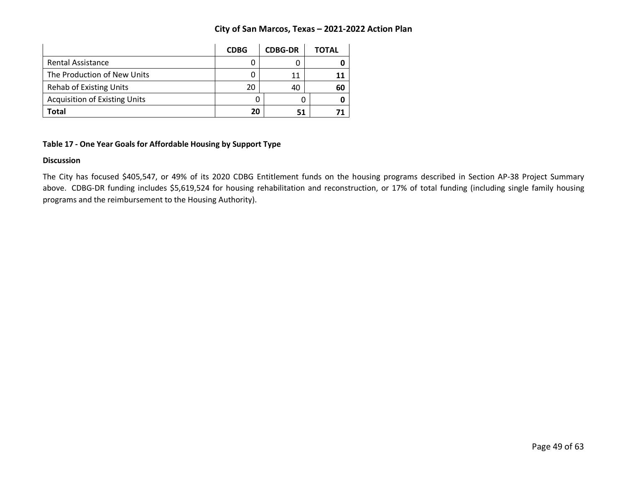|                                      | <b>CDBG</b> | <b>CDBG-DR</b> | ΤΟΤΑL |
|--------------------------------------|-------------|----------------|-------|
| <b>Rental Assistance</b>             |             |                |       |
| The Production of New Units          |             | 11             |       |
| <b>Rehab of Existing Units</b>       | 20          | 40             | 60    |
| <b>Acquisition of Existing Units</b> |             |                |       |
| Total                                | 20          |                |       |

### **Table 17 - One Year Goals for Affordable Housing by Support Type**

#### **Discussion**

The City has focused \$405,547, or 49% of its 2020 CDBG Entitlement funds on the housing programs described in Section AP-38 Project Summary above. CDBG-DR funding includes \$5,619,524 for housing rehabilitation and reconstruction, or 17% of total funding (including single family housing programs and the reimbursement to the Housing Authority).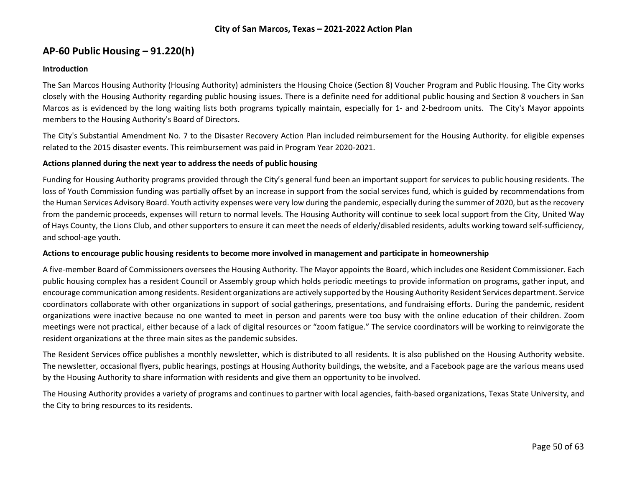# **AP-60 Public Housing** *–* **91.220(h)**

#### **Introduction**

The San Marcos Housing Authority (Housing Authority) administers the Housing Choice (Section 8) Voucher Program and Public Housing. The City works closely with the Housing Authority regarding public housing issues. There is a definite need for additional public housing and Section 8 vouchers in San Marcos as is evidenced by the long waiting lists both programs typically maintain, especially for 1- and 2-bedroom units. The City's Mayor appoints members to the Housing Authority's Board of Directors.

The City's Substantial Amendment No. 7 to the Disaster Recovery Action Plan included reimbursement for the Housing Authority. for eligible expenses related to the 2015 disaster events. This reimbursement was paid in Program Year 2020-2021.

#### **Actions planned during the next year to address the needs of public housing**

Funding for Housing Authority programs provided through the City's general fund been an important support for services to public housing residents. The loss of Youth Commission funding was partially offset by an increase in support from the social services fund, which is guided by recommendations from the Human Services Advisory Board. Youth activity expenses were very low during the pandemic, especially during the summer of 2020, but as the recovery from the pandemic proceeds, expenses will return to normal levels. The Housing Authority will continue to seek local support from the City, United Way of Hays County, the Lions Club, and other supporters to ensure it can meet the needs of elderly/disabled residents, adults working toward self-sufficiency, and school-age youth.

#### **Actions to encourage public housing residents to become more involved in management and participate in homeownership**

A five-member Board of Commissioners oversees the Housing Authority. The Mayor appoints the Board, which includes one Resident Commissioner. Each public housing complex has a resident Council or Assembly group which holds periodic meetings to provide information on programs, gather input, and encourage communication among residents. Resident organizations are actively supported by the Housing Authority Resident Services department. Service coordinators collaborate with other organizations in support of social gatherings, presentations, and fundraising efforts. During the pandemic, resident organizations were inactive because no one wanted to meet in person and parents were too busy with the online education of their children. Zoom meetings were not practical, either because of a lack of digital resources or "zoom fatigue." The service coordinators will be working to reinvigorate the resident organizations at the three main sites as the pandemic subsides.

The Resident Services office publishes a monthly newsletter, which is distributed to all residents. It is also published on the Housing Authority website. The newsletter, occasional flyers, public hearings, postings at Housing Authority buildings, the website, and a Facebook page are the various means used by the Housing Authority to share information with residents and give them an opportunity to be involved.

The Housing Authority provides a variety of programs and continues to partner with local agencies, faith-based organizations, Texas State University, and the City to bring resources to its residents.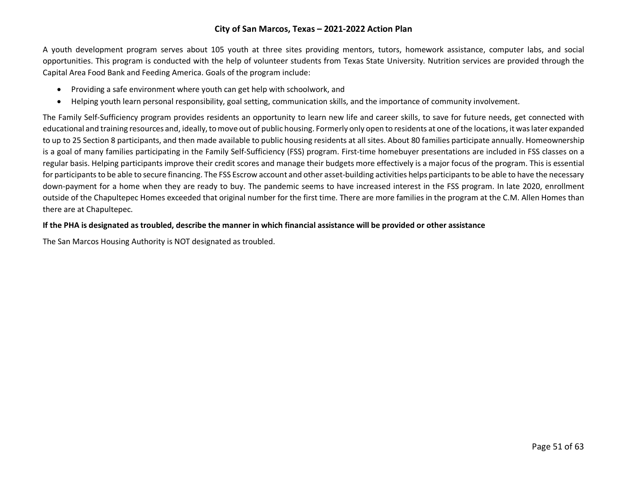A youth development program serves about 105 youth at three sites providing mentors, tutors, homework assistance, computer labs, and social opportunities. This program is conducted with the help of volunteer students from Texas State University. Nutrition services are provided through the Capital Area Food Bank and Feeding America. Goals of the program include:

- Providing a safe environment where youth can get help with schoolwork, and
- Helping youth learn personal responsibility, goal setting, communication skills, and the importance of community involvement.

The Family Self-Sufficiency program provides residents an opportunity to learn new life and career skills, to save for future needs, get connected with educational and training resources and, ideally, to move out of public housing. Formerly only open to residents at one of the locations, it was later expanded to up to 25 Section 8 participants, and then made available to public housing residents at all sites. About 80 families participate annually. Homeownership is a goal of many families participating in the Family Self-Sufficiency (FSS) program. First-time homebuyer presentations are included in FSS classes on a regular basis. Helping participants improve their credit scores and manage their budgets more effectively is a major focus of the program. This is essential for participants to be able to secure financing. The FSS Escrow account and other asset-building activities helps participants to be able to have the necessary down-payment for a home when they are ready to buy. The pandemic seems to have increased interest in the FSS program. In late 2020, enrollment outside of the Chapultepec Homes exceeded that original number for the first time. There are more families in the program at the C.M. Allen Homes than there are at Chapultepec.

#### **If the PHA is designated as troubled, describe the manner in which financial assistance will be provided or other assistance**

The San Marcos Housing Authority is NOT designated as troubled.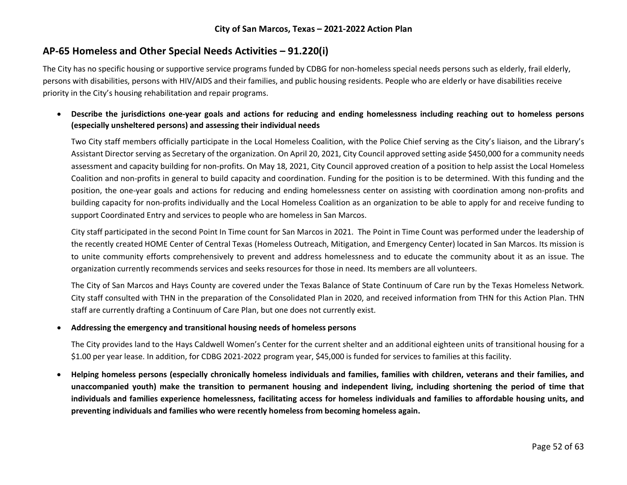# **AP-65 Homeless and Other Special Needs Activities – 91.220(i)**

The City has no specific housing or supportive service programs funded by CDBG for non-homeless special needs persons such as elderly, frail elderly, persons with disabilities, persons with HIV/AIDS and their families, and public housing residents. People who are elderly or have disabilities receive priority in the City's housing rehabilitation and repair programs.

## • **Describe the jurisdictions one-year goals and actions for reducing and ending homelessness including reaching out to homeless persons (especially unsheltered persons) and assessing their individual needs**

Two City staff members officially participate in the Local Homeless Coalition, with the Police Chief serving as the City's liaison, and the Library's Assistant Director serving as Secretary of the organization. On April 20, 2021, City Council approved setting aside \$450,000 for a community needs assessment and capacity building for non-profits. On May 18, 2021, City Council approved creation of a position to help assist the Local Homeless Coalition and non-profits in general to build capacity and coordination. Funding for the position is to be determined. With this funding and the position, the one-year goals and actions for reducing and ending homelessness center on assisting with coordination among non-profits and building capacity for non-profits individually and the Local Homeless Coalition as an organization to be able to apply for and receive funding to support Coordinated Entry and services to people who are homeless in San Marcos.

City staff participated in the second Point In Time count for San Marcos in 2021. The Point in Time Count was performed under the leadership of the recently created HOME Center of Central Texas (Homeless Outreach, Mitigation, and Emergency Center) located in San Marcos. Its mission is to unite community efforts comprehensively to prevent and address homelessness and to educate the community about it as an issue. The organization currently recommends services and seeks resources for those in need. Its members are all volunteers.

The City of San Marcos and Hays County are covered under the Texas Balance of State Continuum of Care run by the Texas Homeless Network. City staff consulted with THN in the preparation of the Consolidated Plan in 2020, and received information from THN for this Action Plan. THN staff are currently drafting a Continuum of Care Plan, but one does not currently exist.

#### • **Addressing the emergency and transitional housing needs of homeless persons**

The City provides land to the Hays Caldwell Women's Center for the current shelter and an additional eighteen units of transitional housing for a \$1.00 per year lease. In addition, for CDBG 2021-2022 program year, \$45,000 is funded for services to families at this facility.

• **Helping homeless persons (especially chronically homeless individuals and families, families with children, veterans and their families, and unaccompanied youth) make the transition to permanent housing and independent living, including shortening the period of time that individuals and families experience homelessness, facilitating access for homeless individuals and families to affordable housing units, and preventing individuals and families who were recently homeless from becoming homeless again.**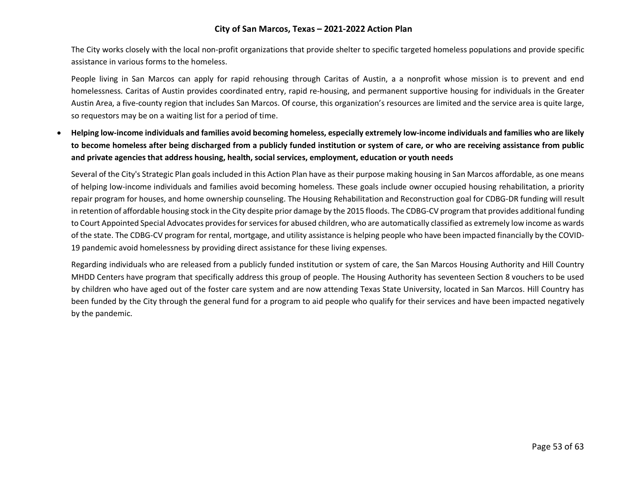The City works closely with the local non-profit organizations that provide shelter to specific targeted homeless populations and provide specific assistance in various forms to the homeless.

People living in San Marcos can apply for rapid rehousing through Caritas of Austin, a a nonprofit whose mission is to prevent and end homelessness. Caritas of Austin provides coordinated entry, rapid re-housing, and permanent supportive housing for individuals in the Greater Austin Area, a five-county region that includes San Marcos. Of course, this organization's resources are limited and the service area is quite large, so requestors may be on a waiting list for a period of time.

• **Helping low-income individuals and families avoid becoming homeless, especially extremely low-income individuals and families who are likely to become homeless after being discharged from a publicly funded institution or system of care, or who are receiving assistance from public and private agencies that address housing, health, social services, employment, education or youth needs**

Several of the City's Strategic Plan goals included in this Action Plan have as their purpose making housing in San Marcos affordable, as one means of helping low-income individuals and families avoid becoming homeless. These goals include owner occupied housing rehabilitation, a priority repair program for houses, and home ownership counseling. The Housing Rehabilitation and Reconstruction goal for CDBG-DR funding will result in retention of affordable housing stock in the City despite prior damage by the 2015 floods. The CDBG-CV program that provides additional funding to Court Appointed Special Advocates provides for services for abused children, who are automatically classified as extremely low income as wards of the state. The CDBG-CV program for rental, mortgage, and utility assistance is helping people who have been impacted financially by the COVID-19 pandemic avoid homelessness by providing direct assistance for these living expenses.

Regarding individuals who are released from a publicly funded institution or system of care, the San Marcos Housing Authority and Hill Country MHDD Centers have program that specifically address this group of people. The Housing Authority has seventeen Section 8 vouchers to be used by children who have aged out of the foster care system and are now attending Texas State University, located in San Marcos. Hill Country has been funded by the City through the general fund for a program to aid people who qualify for their services and have been impacted negatively by the pandemic.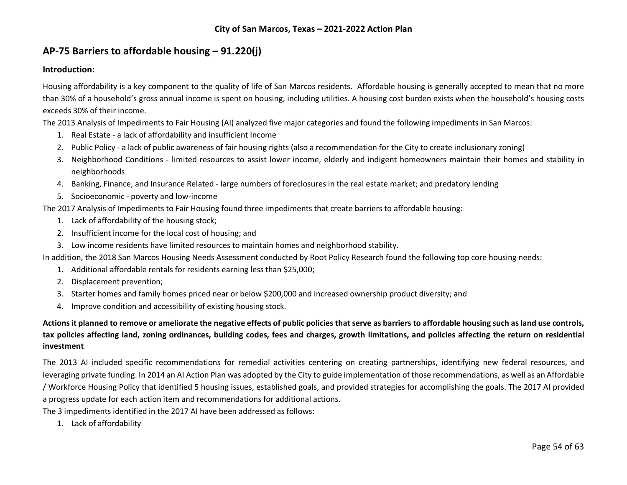# **AP-75 Barriers to affordable housing – 91.220(j)**

### **Introduction:**

Housing affordability is a key component to the quality of life of San Marcos residents. Affordable housing is generally accepted to mean that no more than 30% of a household's gross annual income is spent on housing, including utilities. A housing cost burden exists when the household's housing costs exceeds 30% of their income.

The 2013 Analysis of Impediments to Fair Housing (AI) analyzed five major categories and found the following impediments in San Marcos:

- 1. Real Estate a lack of affordability and insufficient Income
- 2. Public Policy a lack of public awareness of fair housing rights (also a recommendation for the City to create inclusionary zoning)
- 3. Neighborhood Conditions limited resources to assist lower income, elderly and indigent homeowners maintain their homes and stability in neighborhoods
- 4. Banking, Finance, and Insurance Related large numbers of foreclosures in the real estate market; and predatory lending
- 5. Socioeconomic poverty and low-income

The 2017 Analysis of Impediments to Fair Housing found three impediments that create barriers to affordable housing:

- 1. Lack of affordability of the housing stock;
- 2. Insufficient income for the local cost of housing; and
- 3. Low income residents have limited resources to maintain homes and neighborhood stability.

In addition, the 2018 San Marcos Housing Needs Assessment conducted by Root Policy Research found the following top core housing needs:

- 1. Additional affordable rentals for residents earning less than \$25,000;
- 2. Displacement prevention;
- 3. Starter homes and family homes priced near or below \$200,000 and increased ownership product diversity; and
- 4. Improve condition and accessibility of existing housing stock.

# **Actions it planned to remove or ameliorate the negative effects of public policies that serve as barriers to affordable housing such as land use controls, tax policies affecting land, zoning ordinances, building codes, fees and charges, growth limitations, and policies affecting the return on residential investment**

The 2013 AI included specific recommendations for remedial activities centering on creating partnerships, identifying new federal resources, and leveraging private funding. In 2014 an AI Action Plan was adopted by the City to guide implementation of those recommendations, as well as an Affordable / Workforce Housing Policy that identified 5 housing issues, established goals, and provided strategies for accomplishing the goals. The 2017 AI provided a progress update for each action item and recommendations for additional actions.

The 3 impediments identified in the 2017 AI have been addressed as follows:

1. Lack of affordability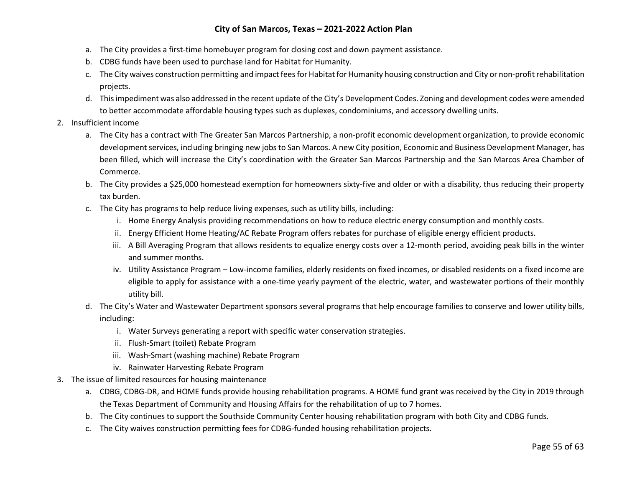- a. The City provides a first-time homebuyer program for closing cost and down payment assistance.
- b. CDBG funds have been used to purchase land for Habitat for Humanity.
- c. The City waives construction permitting and impact fees for Habitat for Humanity housing construction and City or non-profit rehabilitation projects.
- d. This impediment was also addressed in the recent update of the City's Development Codes. Zoning and development codes were amended to better accommodate affordable housing types such as duplexes, condominiums, and accessory dwelling units.
- 2. Insufficient income
	- a. The City has a contract with The Greater San Marcos Partnership, a non-profit economic development organization, to provide economic development services, including bringing new jobs to San Marcos. A new City position, Economic and Business Development Manager, has been filled, which will increase the City's coordination with the Greater San Marcos Partnership and the San Marcos Area Chamber of Commerce.
	- b. The City provides a \$25,000 homestead exemption for homeowners sixty-five and older or with a disability, thus reducing their property tax burden.
	- c. The City has programs to help reduce living expenses, such as utility bills, including:
		- i. Home Energy Analysis providing recommendations on how to reduce electric energy consumption and monthly costs.
		- ii. Energy Efficient Home Heating/AC Rebate Program offers rebates for purchase of eligible energy efficient products.
		- iii. A Bill Averaging Program that allows residents to equalize energy costs over a 12-month period, avoiding peak bills in the winter and summer months.
		- iv. Utility Assistance Program Low-income families, elderly residents on fixed incomes, or disabled residents on a fixed income are eligible to apply for assistance with a one-time yearly payment of the electric, water, and wastewater portions of their monthly utility bill.
	- d. The City's Water and Wastewater Department sponsors several programs that help encourage families to conserve and lower utility bills, including:
		- i. Water Surveys generating a report with specific water conservation strategies.
		- ii. Flush-Smart (toilet) Rebate Program
		- iii. Wash-Smart (washing machine) Rebate Program
		- iv. Rainwater Harvesting Rebate Program
- 3. The issue of limited resources for housing maintenance
	- a. CDBG, CDBG-DR, and HOME funds provide housing rehabilitation programs. A HOME fund grant was received by the City in 2019 through the Texas Department of Community and Housing Affairs for the rehabilitation of up to 7 homes.
	- b. The City continues to support the Southside Community Center housing rehabilitation program with both City and CDBG funds.
	- c. The City waives construction permitting fees for CDBG-funded housing rehabilitation projects.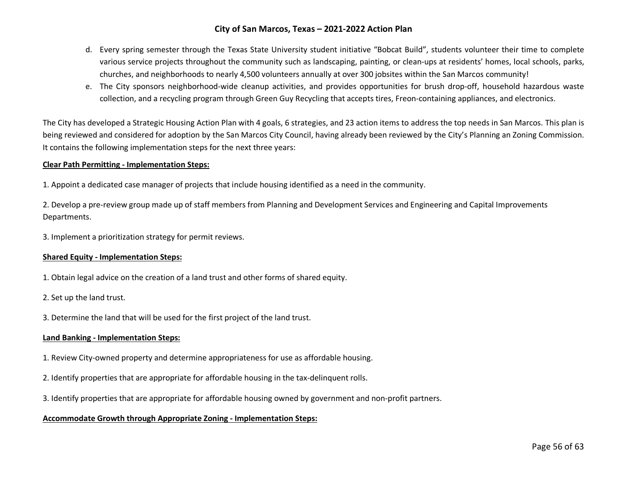- d. Every spring semester through the Texas State University student initiative "Bobcat Build", students volunteer their time to complete various service projects throughout the community such as landscaping, painting, or clean-ups at residents' homes, local schools, parks, churches, and neighborhoods to nearly 4,500 volunteers annually at over 300 jobsites within the San Marcos community!
- e. The City sponsors neighborhood-wide cleanup activities, and provides opportunities for brush drop-off, household hazardous waste collection, and a recycling program through Green Guy Recycling that accepts tires, Freon-containing appliances, and electronics.

The City has developed a Strategic Housing Action Plan with 4 goals, 6 strategies, and 23 action items to address the top needs in San Marcos. This plan is being reviewed and considered for adoption by the San Marcos City Council, having already been reviewed by the City's Planning an Zoning Commission. It contains the following implementation steps for the next three years:

#### **Clear Path Permitting - Implementation Steps:**

1. Appoint a dedicated case manager of projects that include housing identified as a need in the community.

2. Develop a pre-review group made up of staff members from Planning and Development Services and Engineering and Capital Improvements Departments.

3. Implement a prioritization strategy for permit reviews.

#### **Shared Equity - Implementation Steps:**

1. Obtain legal advice on the creation of a land trust and other forms of shared equity.

2. Set up the land trust.

3. Determine the land that will be used for the first project of the land trust.

#### **Land Banking - Implementation Steps:**

- 1. Review City-owned property and determine appropriateness for use as affordable housing.
- 2. Identify properties that are appropriate for affordable housing in the tax-delinquent rolls.
- 3. Identify properties that are appropriate for affordable housing owned by government and non-profit partners.

#### **Accommodate Growth through Appropriate Zoning - Implementation Steps:**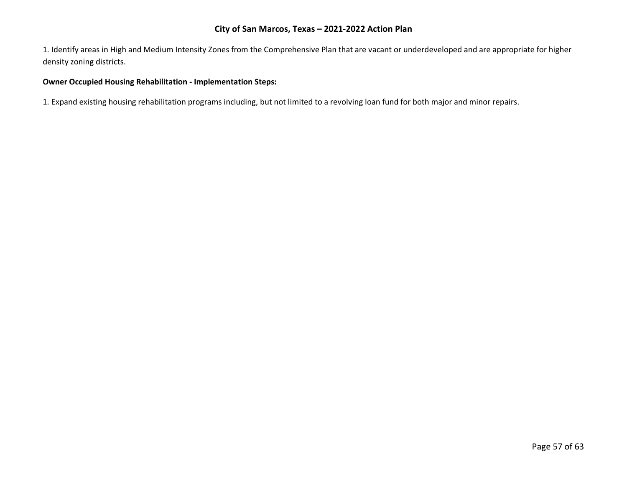1. Identify areas in High and Medium Intensity Zones from the Comprehensive Plan that are vacant or underdeveloped and are appropriate for higher density zoning districts.

#### **Owner Occupied Housing Rehabilitation - Implementation Steps:**

1. Expand existing housing rehabilitation programs including, but not limited to a revolving loan fund for both major and minor repairs.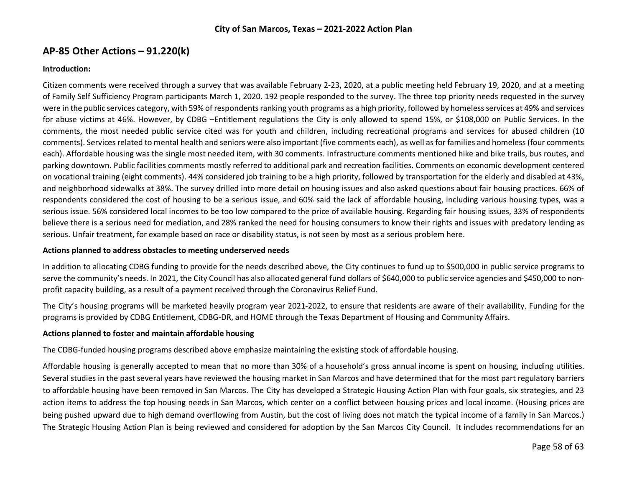# **AP-85 Other Actions – 91.220(k)**

#### **Introduction:**

Citizen comments were received through a survey that was available February 2-23, 2020, at a public meeting held February 19, 2020, and at a meeting of Family Self Sufficiency Program participants March 1, 2020. 192 people responded to the survey. The three top priority needs requested in the survey were in the public services category, with 59% of respondents ranking youth programs as a high priority, followed by homelessservices at 49% and services for abuse victims at 46%. However, by CDBG –Entitlement regulations the City is only allowed to spend 15%, or \$108,000 on Public Services. In the comments, the most needed public service cited was for youth and children, including recreational programs and services for abused children (10 comments). Services related to mental health and seniors were also important (five comments each), as well as for families and homeless (four comments each). Affordable housing was the single most needed item, with 30 comments. Infrastructure comments mentioned hike and bike trails, bus routes, and parking downtown. Public facilities comments mostly referred to additional park and recreation facilities. Comments on economic development centered on vocational training (eight comments). 44% considered job training to be a high priority, followed by transportation for the elderly and disabled at 43%, and neighborhood sidewalks at 38%. The survey drilled into more detail on housing issues and also asked questions about fair housing practices. 66% of respondents considered the cost of housing to be a serious issue, and 60% said the lack of affordable housing, including various housing types, was a serious issue. 56% considered local incomes to be too low compared to the price of available housing. Regarding fair housing issues, 33% of respondents believe there is a serious need for mediation, and 28% ranked the need for housing consumers to know their rights and issues with predatory lending as serious. Unfair treatment, for example based on race or disability status, is not seen by most as a serious problem here.

#### **Actions planned to address obstacles to meeting underserved needs**

In addition to allocating CDBG funding to provide for the needs described above, the City continues to fund up to \$500,000 in public service programs to serve the community's needs. In 2021, the City Council has also allocated general fund dollars of \$640,000 to public service agencies and \$450,000 to nonprofit capacity building, as a result of a payment received through the Coronavirus Relief Fund.

The City's housing programs will be marketed heavily program year 2021-2022, to ensure that residents are aware of their availability. Funding for the programs is provided by CDBG Entitlement, CDBG-DR, and HOME through the Texas Department of Housing and Community Affairs.

#### **Actions planned to foster and maintain affordable housing**

The CDBG-funded housing programs described above emphasize maintaining the existing stock of affordable housing.

Affordable housing is generally accepted to mean that no more than 30% of a household's gross annual income is spent on housing, including utilities. Several studies in the past several years have reviewed the housing market in San Marcos and have determined that for the most part regulatory barriers to affordable housing have been removed in San Marcos. The City has developed a Strategic Housing Action Plan with four goals, six strategies, and 23 action items to address the top housing needs in San Marcos, which center on a conflict between housing prices and local income. (Housing prices are being pushed upward due to high demand overflowing from Austin, but the cost of living does not match the typical income of a family in San Marcos.) The Strategic Housing Action Plan is being reviewed and considered for adoption by the San Marcos City Council. It includes recommendations for an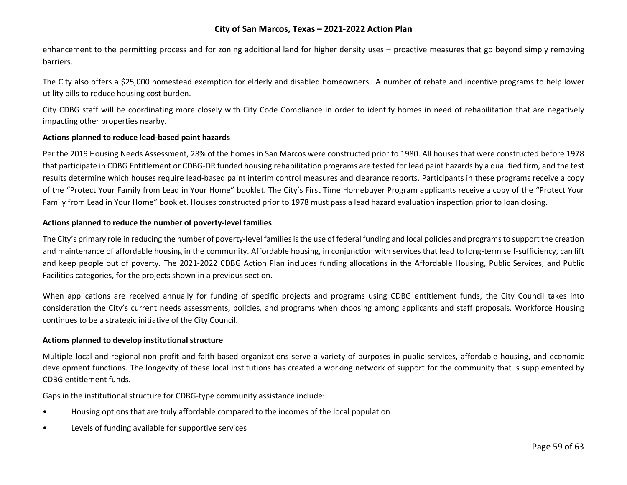enhancement to the permitting process and for zoning additional land for higher density uses – proactive measures that go beyond simply removing barriers.

The City also offers a \$25,000 homestead exemption for elderly and disabled homeowners. A number of rebate and incentive programs to help lower utility bills to reduce housing cost burden.

City CDBG staff will be coordinating more closely with City Code Compliance in order to identify homes in need of rehabilitation that are negatively impacting other properties nearby.

#### **Actions planned to reduce lead-based paint hazards**

Per the 2019 Housing Needs Assessment, 28% of the homes in San Marcos were constructed prior to 1980. All houses that were constructed before 1978 that participate in CDBG Entitlement or CDBG-DR funded housing rehabilitation programs are tested for lead paint hazards by a qualified firm, and the test results determine which houses require lead-based paint interim control measures and clearance reports. Participants in these programs receive a copy of the "Protect Your Family from Lead in Your Home" booklet. The City's First Time Homebuyer Program applicants receive a copy of the "Protect Your Family from Lead in Your Home" booklet. Houses constructed prior to 1978 must pass a lead hazard evaluation inspection prior to loan closing.

#### **Actions planned to reduce the number of poverty-level families**

The City's primary role in reducing the number of poverty-level families is the use of federal funding and local policies and programs to support the creation and maintenance of affordable housing in the community. Affordable housing, in conjunction with services that lead to long-term self-sufficiency, can lift and keep people out of poverty. The 2021-2022 CDBG Action Plan includes funding allocations in the Affordable Housing, Public Services, and Public Facilities categories, for the projects shown in a previous section.

When applications are received annually for funding of specific projects and programs using CDBG entitlement funds, the City Council takes into consideration the City's current needs assessments, policies, and programs when choosing among applicants and staff proposals. Workforce Housing continues to be a strategic initiative of the City Council.

#### **Actions planned to develop institutional structure**

Multiple local and regional non-profit and faith-based organizations serve a variety of purposes in public services, affordable housing, and economic development functions. The longevity of these local institutions has created a working network of support for the community that is supplemented by CDBG entitlement funds.

Gaps in the institutional structure for CDBG-type community assistance include:

- Housing options that are truly affordable compared to the incomes of the local population
- Levels of funding available for supportive services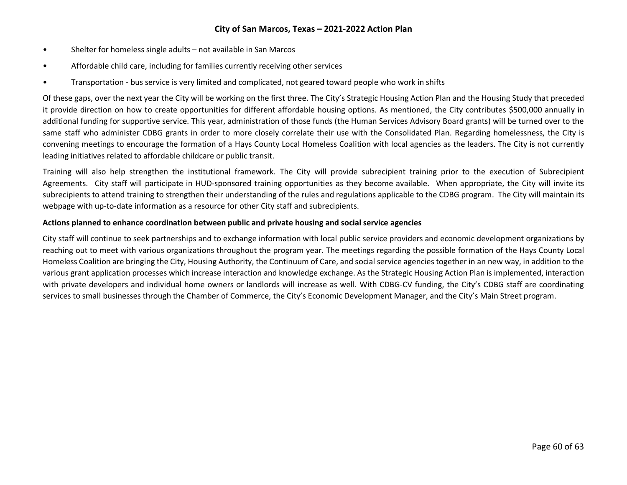- Shelter for homeless single adults not available in San Marcos
- Affordable child care, including for families currently receiving other services
- Transportation bus service is very limited and complicated, not geared toward people who work in shifts

Of these gaps, over the next year the City will be working on the first three. The City's Strategic Housing Action Plan and the Housing Study that preceded it provide direction on how to create opportunities for different affordable housing options. As mentioned, the City contributes \$500,000 annually in additional funding for supportive service. This year, administration of those funds (the Human Services Advisory Board grants) will be turned over to the same staff who administer CDBG grants in order to more closely correlate their use with the Consolidated Plan. Regarding homelessness, the City is convening meetings to encourage the formation of a Hays County Local Homeless Coalition with local agencies as the leaders. The City is not currently leading initiatives related to affordable childcare or public transit.

Training will also help strengthen the institutional framework. The City will provide subrecipient training prior to the execution of Subrecipient Agreements. City staff will participate in HUD-sponsored training opportunities as they become available. When appropriate, the City will invite its subrecipients to attend training to strengthen their understanding of the rules and regulations applicable to the CDBG program. The City will maintain its webpage with up-to-date information as a resource for other City staff and subrecipients.

#### **Actions planned to enhance coordination between public and private housing and social service agencies**

City staff will continue to seek partnerships and to exchange information with local public service providers and economic development organizations by reaching out to meet with various organizations throughout the program year. The meetings regarding the possible formation of the Hays County Local Homeless Coalition are bringing the City, Housing Authority, the Continuum of Care, and social service agencies together in an new way, in addition to the various grant application processes which increase interaction and knowledge exchange. As the Strategic Housing Action Plan is implemented, interaction with private developers and individual home owners or landlords will increase as well. With CDBG-CV funding, the City's CDBG staff are coordinating services to small businesses through the Chamber of Commerce, the City's Economic Development Manager, and the City's Main Street program.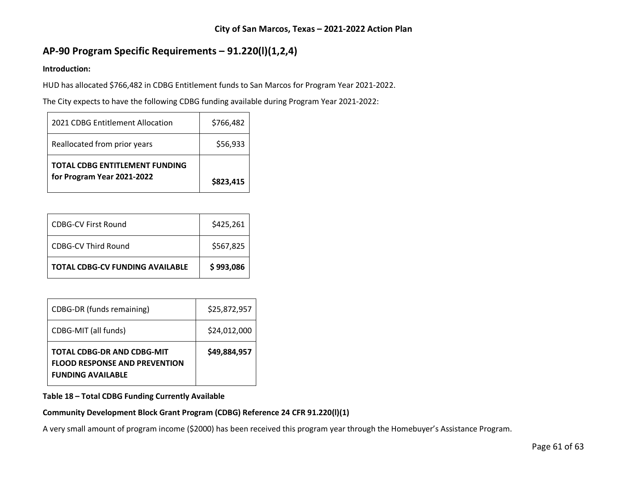# **AP-90 Program Specific Requirements – 91.220(l)(1,2,4)**

## **Introduction:**

HUD has allocated \$766,482 in CDBG Entitlement funds to San Marcos for Program Year 2021-2022.

The City expects to have the following CDBG funding available during Program Year 2021-2022:

| 2021 CDBG Entitlement Allocation | \$766,482 |
|----------------------------------|-----------|
| Reallocated from prior years     | \$56,933  |
| TOTAL CDBG ENTITLEMENT FUNDING   |           |
| for Program Year 2021-2022       | \$823,415 |

| CDBG-CV Third Round                    | \$425,261<br>\$567,825 |
|----------------------------------------|------------------------|
| <b>TOTAL CDBG-CV FUNDING AVAILABLE</b> | \$993,086              |

| <b>TOTAL CDBG-DR AND CDBG-MIT</b><br><b>FLOOD RESPONSE AND PREVENTION</b><br><b>FUNDING AVAILABLE</b> | \$49,884,957 |
|-------------------------------------------------------------------------------------------------------|--------------|
| CDBG-MIT (all funds)                                                                                  | \$24,012,000 |
| CDBG-DR (funds remaining)                                                                             | \$25,872,957 |

## **Table 18 – Total CDBG Funding Currently Available**

## **Community Development Block Grant Program (CDBG) Reference 24 CFR 91.220(l)(1)**

A very small amount of program income (\$2000) has been received this program year through the Homebuyer's Assistance Program.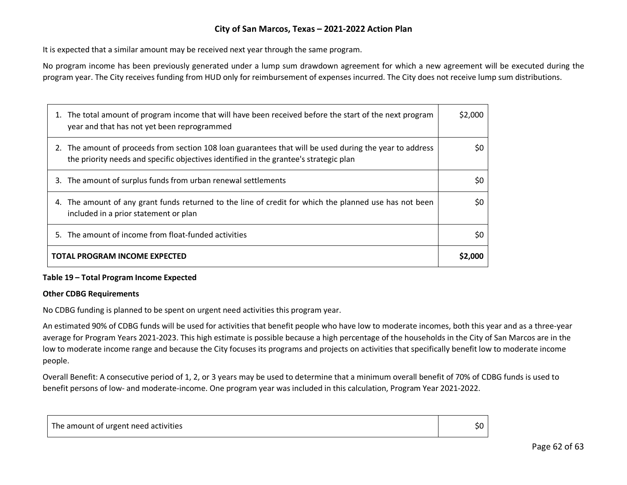It is expected that a similar amount may be received next year through the same program.

No program income has been previously generated under a lump sum drawdown agreement for which a new agreement will be executed during the program year. The City receives funding from HUD only for reimbursement of expenses incurred. The City does not receive lump sum distributions.

| 1. The total amount of program income that will have been received before the start of the next program<br>year and that has not yet been reprogrammed                                           | \$2,000 |
|--------------------------------------------------------------------------------------------------------------------------------------------------------------------------------------------------|---------|
| 2. The amount of proceeds from section 108 loan guarantees that will be used during the year to address<br>the priority needs and specific objectives identified in the grantee's strategic plan | S0      |
| 3. The amount of surplus funds from urban renewal settlements                                                                                                                                    | \$0     |
| 4. The amount of any grant funds returned to the line of credit for which the planned use has not been<br>included in a prior statement or plan                                                  | \$0     |
| 5. The amount of income from float-funded activities                                                                                                                                             | \$0     |
| <b>TOTAL PROGRAM INCOME EXPECTED</b>                                                                                                                                                             | \$2,000 |

#### **Table 19 – Total Program Income Expected**

#### **Other CDBG Requirements**

No CDBG funding is planned to be spent on urgent need activities this program year.

An estimated 90% of CDBG funds will be used for activities that benefit people who have low to moderate incomes, both this year and as a three-year average for Program Years 2021-2023. This high estimate is possible because a high percentage of the households in the City of San Marcos are in the low to moderate income range and because the City focuses its programs and projects on activities that specifically benefit low to moderate income people.

Overall Benefit: A consecutive period of 1, 2, or 3 years may be used to determine that a minimum overall benefit of 70% of CDBG funds is used to benefit persons of low- and moderate-income. One program year was included in this calculation, Program Year 2021-2022.

| The amount of urgent need activities | יטכ |
|--------------------------------------|-----|
|--------------------------------------|-----|